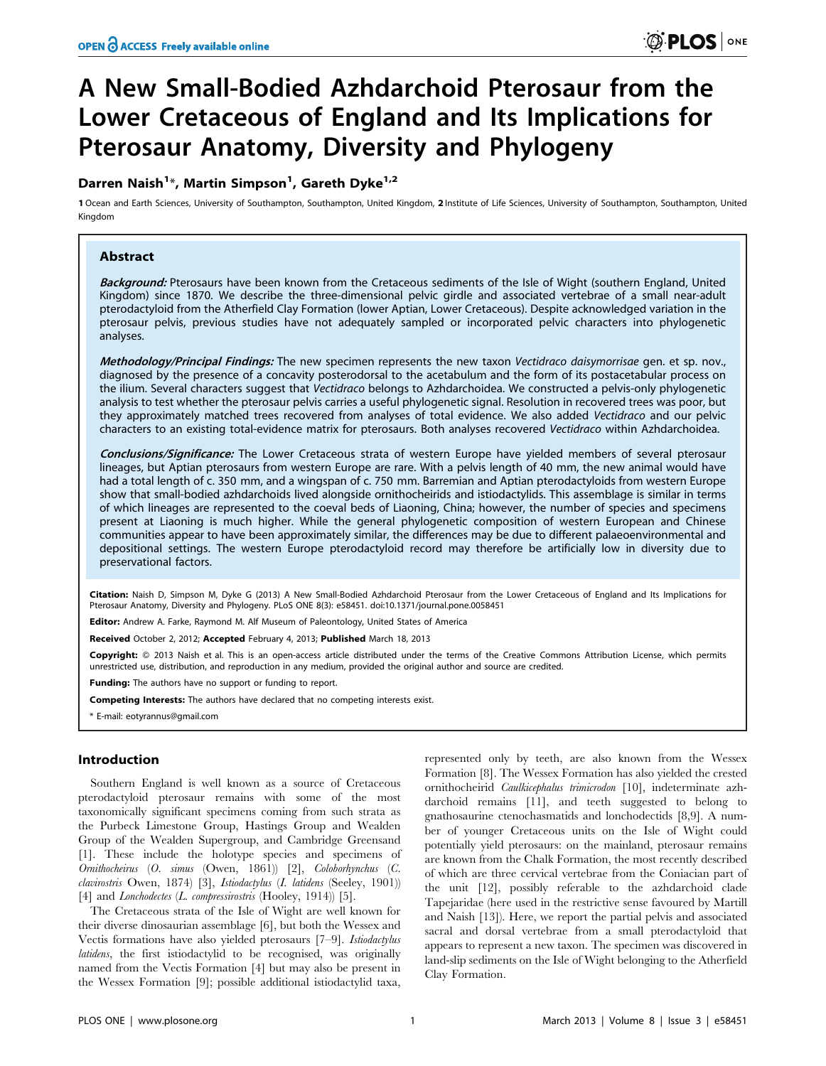# A New Small-Bodied Azhdarchoid Pterosaur from the Lower Cretaceous of England and Its Implications for Pterosaur Anatomy, Diversity and Phylogeny

# Darren Naish<sup>1\*</sup>, Martin Simpson<sup>1</sup>, Gareth Dyke<sup>1,2</sup>

1Ocean and Earth Sciences, University of Southampton, Southampton, United Kingdom, 2 Institute of Life Sciences, University of Southampton, Southampton, United Kingdom

# Abstract

Background: Pterosaurs have been known from the Cretaceous sediments of the Isle of Wight (southern England, United Kingdom) since 1870. We describe the three-dimensional pelvic girdle and associated vertebrae of a small near-adult pterodactyloid from the Atherfield Clay Formation (lower Aptian, Lower Cretaceous). Despite acknowledged variation in the pterosaur pelvis, previous studies have not adequately sampled or incorporated pelvic characters into phylogenetic analyses.

Methodology/Principal Findings: The new specimen represents the new taxon Vectidraco daisymorrisae gen. et sp. nov., diagnosed by the presence of a concavity posterodorsal to the acetabulum and the form of its postacetabular process on the ilium. Several characters suggest that Vectidraco belongs to Azhdarchoidea. We constructed a pelvis-only phylogenetic analysis to test whether the pterosaur pelvis carries a useful phylogenetic signal. Resolution in recovered trees was poor, but they approximately matched trees recovered from analyses of total evidence. We also added Vectidraco and our pelvic characters to an existing total-evidence matrix for pterosaurs. Both analyses recovered Vectidraco within Azhdarchoidea.

Conclusions/Significance: The Lower Cretaceous strata of western Europe have yielded members of several pterosaur lineages, but Aptian pterosaurs from western Europe are rare. With a pelvis length of 40 mm, the new animal would have had a total length of c. 350 mm, and a wingspan of c. 750 mm. Barremian and Aptian pterodactyloids from western Europe show that small-bodied azhdarchoids lived alongside ornithocheirids and istiodactylids. This assemblage is similar in terms of which lineages are represented to the coeval beds of Liaoning, China; however, the number of species and specimens present at Liaoning is much higher. While the general phylogenetic composition of western European and Chinese communities appear to have been approximately similar, the differences may be due to different palaeoenvironmental and depositional settings. The western Europe pterodactyloid record may therefore be artificially low in diversity due to preservational factors.

Citation: Naish D, Simpson M, Dyke G (2013) A New Small-Bodied Azhdarchoid Pterosaur from the Lower Cretaceous of England and Its Implications for Pterosaur Anatomy, Diversity and Phylogeny. PLoS ONE 8(3): e58451. doi:10.1371/journal.pone.0058451

Editor: Andrew A. Farke, Raymond M. Alf Museum of Paleontology, United States of America

Received October 2, 2012; Accepted February 4, 2013; Published March 18, 2013

Copyright: © 2013 Naish et al. This is an open-access article distributed under the terms of the Creative Commons Attribution License, which permits unrestricted use, distribution, and reproduction in any medium, provided the original author and source are credited.

Funding: The authors have no support or funding to report.

Competing Interests: The authors have declared that no competing interests exist.

\* E-mail: eotyrannus@gmail.com

#### Introduction

Southern England is well known as a source of Cretaceous pterodactyloid pterosaur remains with some of the most taxonomically significant specimens coming from such strata as the Purbeck Limestone Group, Hastings Group and Wealden Group of the Wealden Supergroup, and Cambridge Greensand [1]. These include the holotype species and specimens of Ornithocheirus (O. simus (Owen, 1861)) [2], Coloborhynchus (C. clavirostris Owen, 1874) [3], Istiodactylus (I. latidens (Seeley, 1901)) [4] and *Lonchodectes* (*L. compressirostris* (Hooley, 1914)) [5].

The Cretaceous strata of the Isle of Wight are well known for their diverse dinosaurian assemblage [6], but both the Wessex and Vectis formations have also yielded pterosaurs [7-9]. Istiodactylus latidens, the first istiodactylid to be recognised, was originally named from the Vectis Formation [4] but may also be present in the Wessex Formation [9]; possible additional istiodactylid taxa,

represented only by teeth, are also known from the Wessex Formation [8]. The Wessex Formation has also yielded the crested ornithocheirid Caulkicephalus trimicrodon [10], indeterminate azhdarchoid remains [11], and teeth suggested to belong to gnathosaurine ctenochasmatids and lonchodectids [8,9]. A number of younger Cretaceous units on the Isle of Wight could potentially yield pterosaurs: on the mainland, pterosaur remains are known from the Chalk Formation, the most recently described of which are three cervical vertebrae from the Coniacian part of the unit [12], possibly referable to the azhdarchoid clade Tapejaridae (here used in the restrictive sense favoured by Martill and Naish [13]). Here, we report the partial pelvis and associated sacral and dorsal vertebrae from a small pterodactyloid that appears to represent a new taxon. The specimen was discovered in land-slip sediments on the Isle of Wight belonging to the Atherfield Clay Formation.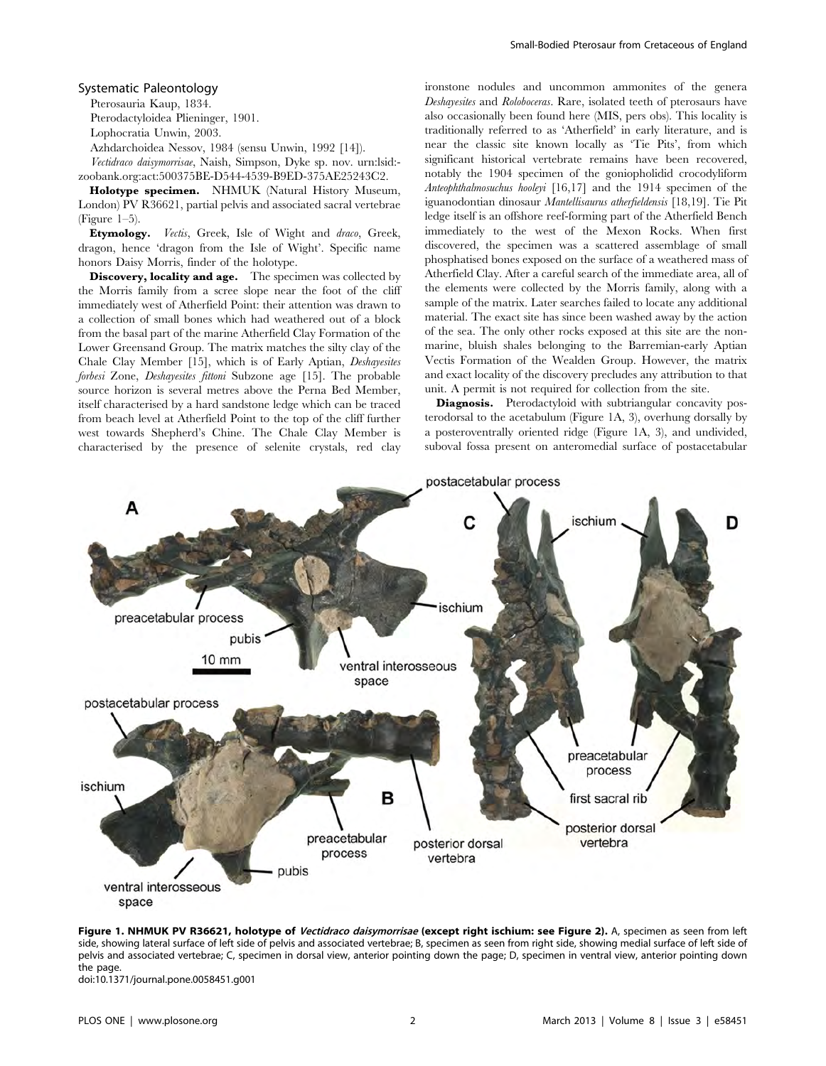#### Systematic Paleontology

Pterosauria Kaup, 1834. Pterodactyloidea Plieninger, 1901.

Lophocratia Unwin, 2003.

Azhdarchoidea Nessov, 1984 (sensu Unwin, 1992 [14]).

Vectidraco daisymorrisae, Naish, Simpson, Dyke sp. nov. urn:lsid: zoobank.org:act:500375BE-D544-4539-B9ED-375AE25243C2.

Holotype specimen. NHMUK (Natural History Museum, London) PV R36621, partial pelvis and associated sacral vertebrae (Figure  $1-5$ ).

Etymology. Vectis, Greek, Isle of Wight and draco, Greek, dragon, hence 'dragon from the Isle of Wight'. Specific name honors Daisy Morris, finder of the holotype.

Discovery, locality and age. The specimen was collected by the Morris family from a scree slope near the foot of the cliff immediately west of Atherfield Point: their attention was drawn to a collection of small bones which had weathered out of a block from the basal part of the marine Atherfield Clay Formation of the Lower Greensand Group. The matrix matches the silty clay of the Chale Clay Member [15], which is of Early Aptian, Deshayesites forbesi Zone, Deshayesites fittoni Subzone age [15]. The probable source horizon is several metres above the Perna Bed Member, itself characterised by a hard sandstone ledge which can be traced from beach level at Atherfield Point to the top of the cliff further west towards Shepherd's Chine. The Chale Clay Member is characterised by the presence of selenite crystals, red clay ironstone nodules and uncommon ammonites of the genera Deshayesites and Roloboceras. Rare, isolated teeth of pterosaurs have also occasionally been found here (MIS, pers obs). This locality is traditionally referred to as 'Atherfield' in early literature, and is near the classic site known locally as 'Tie Pits', from which significant historical vertebrate remains have been recovered, notably the 1904 specimen of the goniopholidid crocodyliform Anteophthalmosuchus hooleyi [16,17] and the 1914 specimen of the iguanodontian dinosaur Mantellisaurus atherfieldensis [18,19]. Tie Pit ledge itself is an offshore reef-forming part of the Atherfield Bench immediately to the west of the Mexon Rocks. When first discovered, the specimen was a scattered assemblage of small phosphatised bones exposed on the surface of a weathered mass of Atherfield Clay. After a careful search of the immediate area, all of the elements were collected by the Morris family, along with a sample of the matrix. Later searches failed to locate any additional material. The exact site has since been washed away by the action of the sea. The only other rocks exposed at this site are the nonmarine, bluish shales belonging to the Barremian-early Aptian Vectis Formation of the Wealden Group. However, the matrix and exact locality of the discovery precludes any attribution to that unit. A permit is not required for collection from the site.

Diagnosis. Pterodactyloid with subtriangular concavity posterodorsal to the acetabulum (Figure 1A, 3), overhung dorsally by a posteroventrally oriented ridge (Figure 1A, 3), and undivided, suboval fossa present on anteromedial surface of postacetabular



Figure 1. NHMUK PV R36621, holotype of Vectidraco daisymorrisae (except right ischium: see Figure 2). A, specimen as seen from left side, showing lateral surface of left side of pelvis and associated vertebrae; B, specimen as seen from right side, showing medial surface of left side of pelvis and associated vertebrae; C, specimen in dorsal view, anterior pointing down the page; D, specimen in ventral view, anterior pointing down the nage.

doi:10.1371/journal.pone.0058451.g001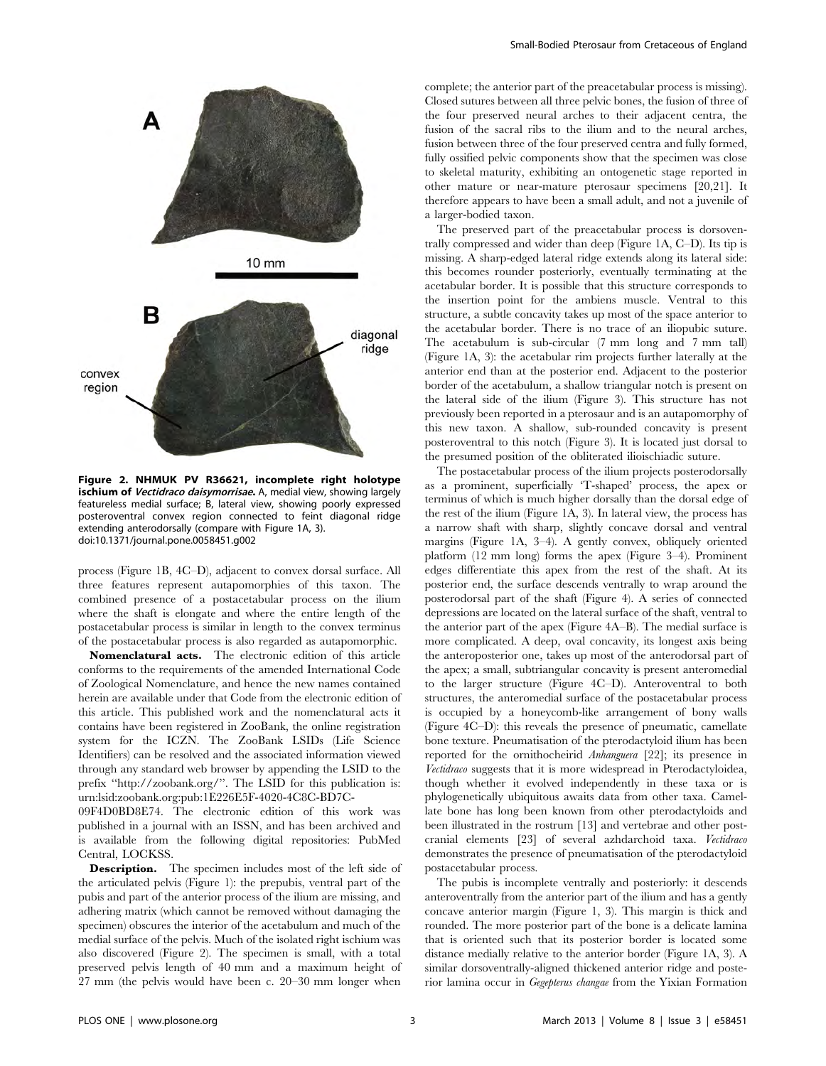

Figure 2. NHMUK PV R36621, incomplete right holotype ischium of Vectidraco daisymorrisae. A, medial view, showing largely featureless medial surface; B, lateral view, showing poorly expressed posteroventral convex region connected to feint diagonal ridge extending anterodorsally (compare with Figure 1A, 3). doi:10.1371/journal.pone.0058451.g002

process (Figure 1B, 4C–D), adjacent to convex dorsal surface. All three features represent autapomorphies of this taxon. The combined presence of a postacetabular process on the ilium where the shaft is elongate and where the entire length of the postacetabular process is similar in length to the convex terminus of the postacetabular process is also regarded as autapomorphic.

Nomenclatural acts. The electronic edition of this article conforms to the requirements of the amended International Code of Zoological Nomenclature, and hence the new names contained herein are available under that Code from the electronic edition of this article. This published work and the nomenclatural acts it contains have been registered in ZooBank, the online registration system for the ICZN. The ZooBank LSIDs (Life Science Identifiers) can be resolved and the associated information viewed through any standard web browser by appending the LSID to the prefix ''http://zoobank.org/''. The LSID for this publication is: urn:lsid:zoobank.org:pub:1E226E5F-4020-4C8C-BD7C-

09F4D0BD8E74. The electronic edition of this work was published in a journal with an ISSN, and has been archived and is available from the following digital repositories: PubMed Central, LOCKSS.

Description. The specimen includes most of the left side of the articulated pelvis (Figure 1): the prepubis, ventral part of the pubis and part of the anterior process of the ilium are missing, and adhering matrix (which cannot be removed without damaging the specimen) obscures the interior of the acetabulum and much of the medial surface of the pelvis. Much of the isolated right ischium was also discovered (Figure 2). The specimen is small, with a total preserved pelvis length of 40 mm and a maximum height of 27 mm (the pelvis would have been c. 20–30 mm longer when complete; the anterior part of the preacetabular process is missing). Closed sutures between all three pelvic bones, the fusion of three of the four preserved neural arches to their adjacent centra, the fusion of the sacral ribs to the ilium and to the neural arches, fusion between three of the four preserved centra and fully formed, fully ossified pelvic components show that the specimen was close to skeletal maturity, exhibiting an ontogenetic stage reported in other mature or near-mature pterosaur specimens [20,21]. It therefore appears to have been a small adult, and not a juvenile of a larger-bodied taxon.

The preserved part of the preacetabular process is dorsoventrally compressed and wider than deep (Figure 1A, C–D). Its tip is missing. A sharp-edged lateral ridge extends along its lateral side: this becomes rounder posteriorly, eventually terminating at the acetabular border. It is possible that this structure corresponds to the insertion point for the ambiens muscle. Ventral to this structure, a subtle concavity takes up most of the space anterior to the acetabular border. There is no trace of an iliopubic suture. The acetabulum is sub-circular (7 mm long and 7 mm tall) (Figure 1A, 3): the acetabular rim projects further laterally at the anterior end than at the posterior end. Adjacent to the posterior border of the acetabulum, a shallow triangular notch is present on the lateral side of the ilium (Figure 3). This structure has not previously been reported in a pterosaur and is an autapomorphy of this new taxon. A shallow, sub-rounded concavity is present posteroventral to this notch (Figure 3). It is located just dorsal to the presumed position of the obliterated ilioischiadic suture.

The postacetabular process of the ilium projects posterodorsally as a prominent, superficially 'T-shaped' process, the apex or terminus of which is much higher dorsally than the dorsal edge of the rest of the ilium (Figure 1A, 3). In lateral view, the process has a narrow shaft with sharp, slightly concave dorsal and ventral margins (Figure 1A, 3–4). A gently convex, obliquely oriented platform (12 mm long) forms the apex (Figure 3–4). Prominent edges differentiate this apex from the rest of the shaft. At its posterior end, the surface descends ventrally to wrap around the posterodorsal part of the shaft (Figure 4). A series of connected depressions are located on the lateral surface of the shaft, ventral to the anterior part of the apex (Figure 4A–B). The medial surface is more complicated. A deep, oval concavity, its longest axis being the anteroposterior one, takes up most of the anterodorsal part of the apex; a small, subtriangular concavity is present anteromedial to the larger structure (Figure 4C–D). Anteroventral to both structures, the anteromedial surface of the postacetabular process is occupied by a honeycomb-like arrangement of bony walls (Figure 4C–D): this reveals the presence of pneumatic, camellate bone texture. Pneumatisation of the pterodactyloid ilium has been reported for the ornithocheirid Anhanguera [22]; its presence in Vectidraco suggests that it is more widespread in Pterodactyloidea, though whether it evolved independently in these taxa or is phylogenetically ubiquitous awaits data from other taxa. Camellate bone has long been known from other pterodactyloids and been illustrated in the rostrum [13] and vertebrae and other postcranial elements [23] of several azhdarchoid taxa. Vectidraco demonstrates the presence of pneumatisation of the pterodactyloid postacetabular process.

The pubis is incomplete ventrally and posteriorly: it descends anteroventrally from the anterior part of the ilium and has a gently concave anterior margin (Figure 1, 3). This margin is thick and rounded. The more posterior part of the bone is a delicate lamina that is oriented such that its posterior border is located some distance medially relative to the anterior border (Figure 1A, 3). A similar dorsoventrally-aligned thickened anterior ridge and posterior lamina occur in Gegepterus changae from the Yixian Formation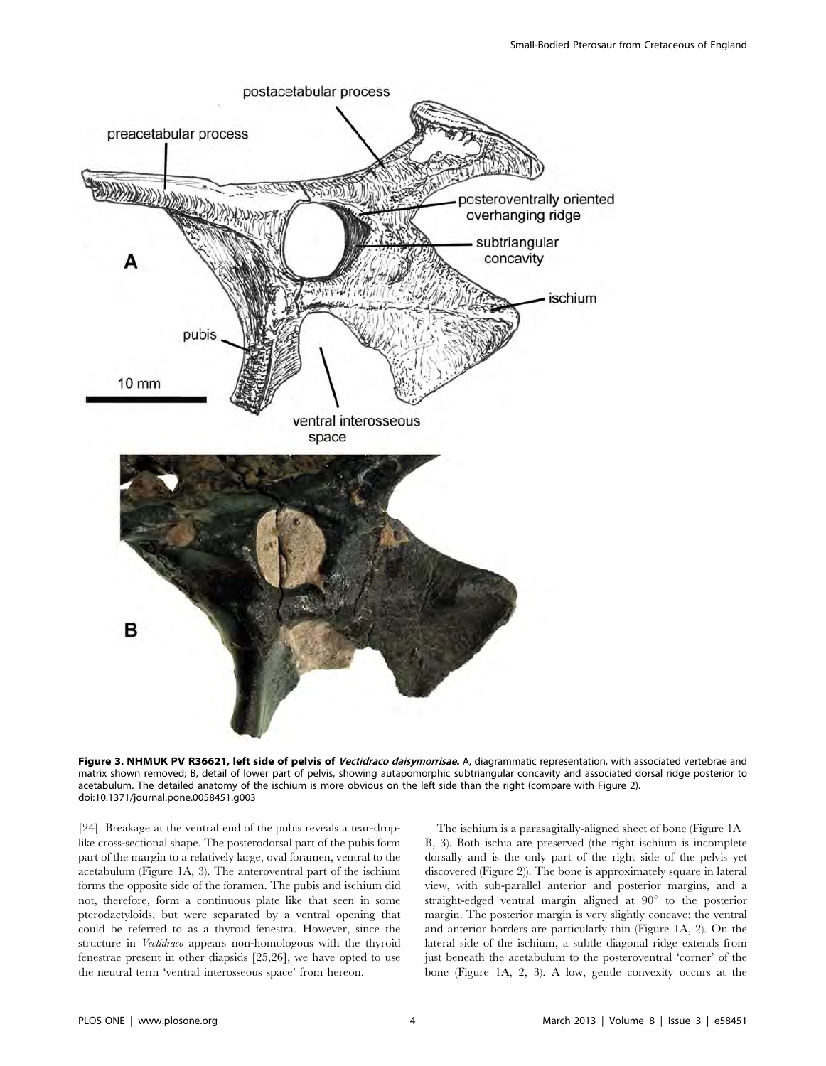

Figure 3. NHMUK PV R36621, left side of pelvis of Vectidraco daisymorrisae. A, diagrammatic representation, with associated vertebrae and matrix shown removed; B, detail of lower part of pelvis, showing autapomorphic subtriangular concavity and associated dorsal ridge posterior to acetabulum. The detailed anatomy of the ischium is more obvious on the left side than the right (compare with Figure 2). doi:10.1371/journal.pone.0058451.g003

[24]. Breakage at the ventral end of the pubis reveals a tear-droplike cross-sectional shape. The posterodorsal part of the pubis form part of the margin to a relatively large, oval foramen, ventral to the acetabulum (Figure 1A, 3). The anteroventral part of the ischium forms the opposite side of the foramen. The pubis and ischium did not, therefore, form a continuous plate like that seen in some pterodactyloids, but were separated by a ventral opening that could be referred to as a thyroid fenestra. However, since the structure in Vectidraco appears non-homologous with the thyroid fenestrae present in other diapsids [25,26], we have opted to use the neutral term 'ventral interosseous space' from hereon.

The ischium is a parasagitally-aligned sheet of bone (Figure 1A– B, 3). Both ischia are preserved (the right ischium is incomplete dorsally and is the only part of the right side of the pelvis yet discovered (Figure 2)). The bone is approximately square in lateral view, with sub-parallel anterior and posterior margins, and a straight-edged ventral margin aligned at  $90^\circ$  to the posterior margin. The posterior margin is very slightly concave; the ventral and anterior borders are particularly thin (Figure 1A, 2). On the lateral side of the ischium, a subtle diagonal ridge extends from just beneath the acetabulum to the posteroventral 'corner' of the bone (Figure 1A, 2, 3). A low, gentle convexity occurs at the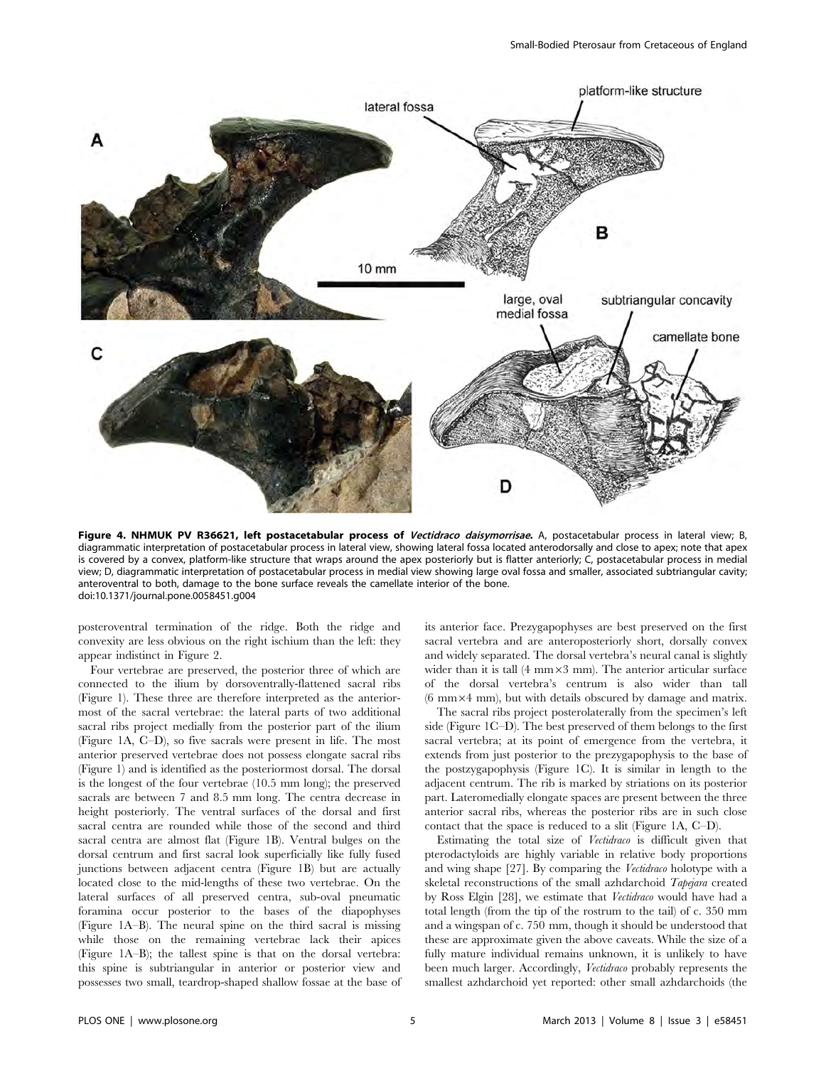

Figure 4. NHMUK PV R36621, left postacetabular process of Vectidraco daisymorrisae. A, postacetabular process in lateral view; B, diagrammatic interpretation of postacetabular process in lateral view, showing lateral fossa located anterodorsally and close to apex; note that apex is covered by a convex, platform-like structure that wraps around the apex posteriorly but is flatter anteriorly; C, postacetabular process in medial view; D, diagrammatic interpretation of postacetabular process in medial view showing large oval fossa and smaller, associated subtriangular cavity; anteroventral to both, damage to the bone surface reveals the camellate interior of the bone. doi:10.1371/journal.pone.0058451.g004

posteroventral termination of the ridge. Both the ridge and convexity are less obvious on the right ischium than the left: they appear indistinct in Figure 2.

Four vertebrae are preserved, the posterior three of which are connected to the ilium by dorsoventrally-flattened sacral ribs (Figure 1). These three are therefore interpreted as the anteriormost of the sacral vertebrae: the lateral parts of two additional sacral ribs project medially from the posterior part of the ilium (Figure 1A, C–D), so five sacrals were present in life. The most anterior preserved vertebrae does not possess elongate sacral ribs (Figure 1) and is identified as the posteriormost dorsal. The dorsal is the longest of the four vertebrae (10.5 mm long); the preserved sacrals are between 7 and 8.5 mm long. The centra decrease in height posteriorly. The ventral surfaces of the dorsal and first sacral centra are rounded while those of the second and third sacral centra are almost flat (Figure 1B). Ventral bulges on the dorsal centrum and first sacral look superficially like fully fused junctions between adjacent centra (Figure 1B) but are actually located close to the mid-lengths of these two vertebrae. On the lateral surfaces of all preserved centra, sub-oval pneumatic foramina occur posterior to the bases of the diapophyses (Figure 1A–B). The neural spine on the third sacral is missing while those on the remaining vertebrae lack their apices (Figure 1A–B); the tallest spine is that on the dorsal vertebra: this spine is subtriangular in anterior or posterior view and possesses two small, teardrop-shaped shallow fossae at the base of its anterior face. Prezygapophyses are best preserved on the first sacral vertebra and are anteroposteriorly short, dorsally convex and widely separated. The dorsal vertebra's neural canal is slightly wider than it is tall  $(4 \text{ mm} \times 3 \text{ mm})$ . The anterior articular surface of the dorsal vertebra's centrum is also wider than tall  $(6 \text{ mm} \times 4 \text{ mm})$ , but with details obscured by damage and matrix.

The sacral ribs project posterolaterally from the specimen's left side (Figure 1C–D). The best preserved of them belongs to the first sacral vertebra; at its point of emergence from the vertebra, it extends from just posterior to the prezygapophysis to the base of the postzygapophysis (Figure 1C). It is similar in length to the adjacent centrum. The rib is marked by striations on its posterior part. Lateromedially elongate spaces are present between the three anterior sacral ribs, whereas the posterior ribs are in such close contact that the space is reduced to a slit (Figure 1A, C–D).

Estimating the total size of Vectidraco is difficult given that pterodactyloids are highly variable in relative body proportions and wing shape [27]. By comparing the Vectidraco holotype with a skeletal reconstructions of the small azhdarchoid Tapejara created by Ross Elgin [28], we estimate that Vectidraco would have had a total length (from the tip of the rostrum to the tail) of c. 350 mm and a wingspan of c. 750 mm, though it should be understood that these are approximate given the above caveats. While the size of a fully mature individual remains unknown, it is unlikely to have been much larger. Accordingly, Vectidraco probably represents the smallest azhdarchoid yet reported: other small azhdarchoids (the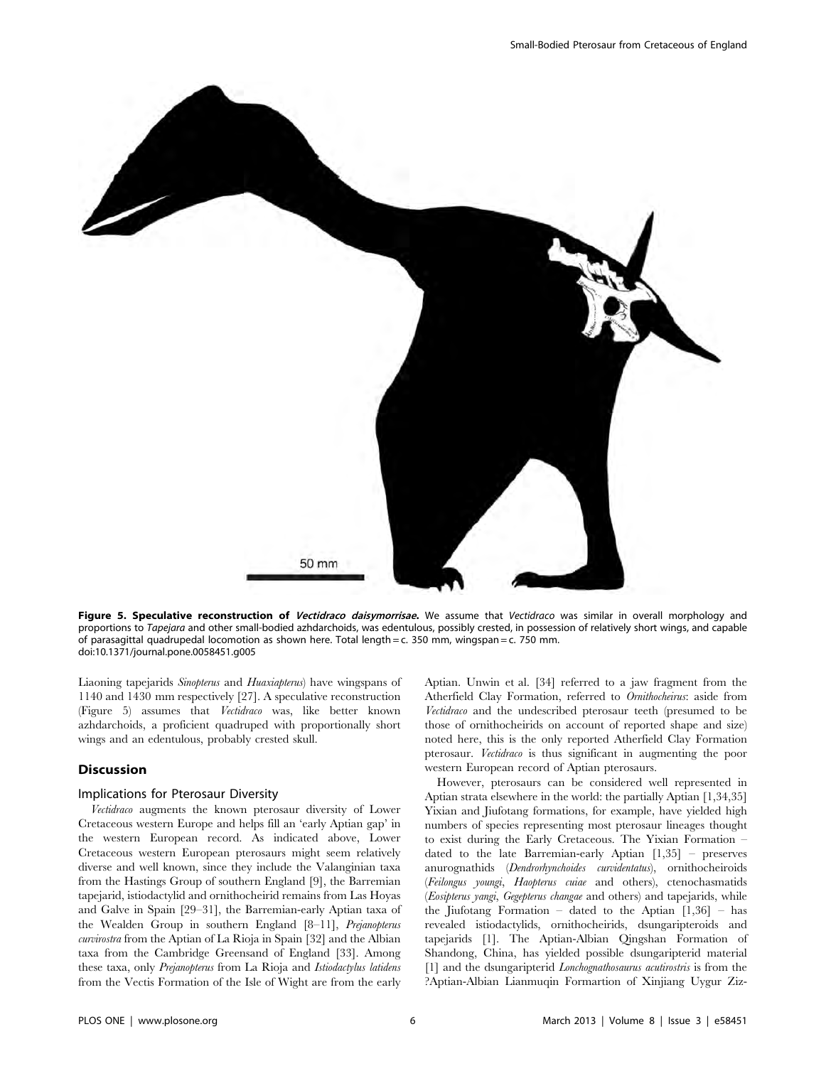

Figure 5. Speculative reconstruction of Vectidraco daisymorrisae. We assume that Vectidraco was similar in overall morphology and proportions to Tapejara and other small-bodied azhdarchoids, was edentulous, possibly crested, in possession of relatively short wings, and capable of parasagittal quadrupedal locomotion as shown here. Total length = c. 350 mm, wingspan = c. 750 mm. doi:10.1371/journal.pone.0058451.g005

Liaoning tapejarids Sinopterus and Huaxiapterus) have wingspans of 1140 and 1430 mm respectively [27]. A speculative reconstruction (Figure 5) assumes that Vectidraco was, like better known azhdarchoids, a proficient quadruped with proportionally short wings and an edentulous, probably crested skull.

#### Discussion

### Implications for Pterosaur Diversity

Vectidraco augments the known pterosaur diversity of Lower Cretaceous western Europe and helps fill an 'early Aptian gap' in the western European record. As indicated above, Lower Cretaceous western European pterosaurs might seem relatively diverse and well known, since they include the Valanginian taxa from the Hastings Group of southern England [9], the Barremian tapejarid, istiodactylid and ornithocheirid remains from Las Hoyas and Galve in Spain [29–31], the Barremian-early Aptian taxa of the Wealden Group in southern England [8–11], Prejanopterus curvirostra from the Aptian of La Rioja in Spain [32] and the Albian taxa from the Cambridge Greensand of England [33]. Among these taxa, only Prejanopterus from La Rioja and Istiodactylus latidens from the Vectis Formation of the Isle of Wight are from the early Aptian. Unwin et al. [34] referred to a jaw fragment from the Atherfield Clay Formation, referred to Ornithocheirus: aside from Vectidraco and the undescribed pterosaur teeth (presumed to be those of ornithocheirids on account of reported shape and size) noted here, this is the only reported Atherfield Clay Formation pterosaur. Vectidraco is thus significant in augmenting the poor western European record of Aptian pterosaurs.

However, pterosaurs can be considered well represented in Aptian strata elsewhere in the world: the partially Aptian [1,34,35] Yixian and Jiufotang formations, for example, have yielded high numbers of species representing most pterosaur lineages thought to exist during the Early Cretaceous. The Yixian Formation – dated to the late Barremian-early Aptian [1,35] – preserves anurognathids (Dendrorhynchoides curvidentatus), ornithocheiroids (Feilongus youngi, Haopterus cuiae and others), ctenochasmatids (Eosipterus yangi, Gegepterus changae and others) and tapejarids, while the Jiufotang Formation – dated to the Aptian  $[1,36]$  – has revealed istiodactylids, ornithocheirids, dsungaripteroids and tapejarids [1]. The Aptian-Albian Qingshan Formation of Shandong, China, has yielded possible dsungaripterid material [1] and the dsungaripterid *Lonchognathosaurus acutirostris* is from the ?Aptian-Albian Lianmuqin Formartion of Xinjiang Uygur Ziz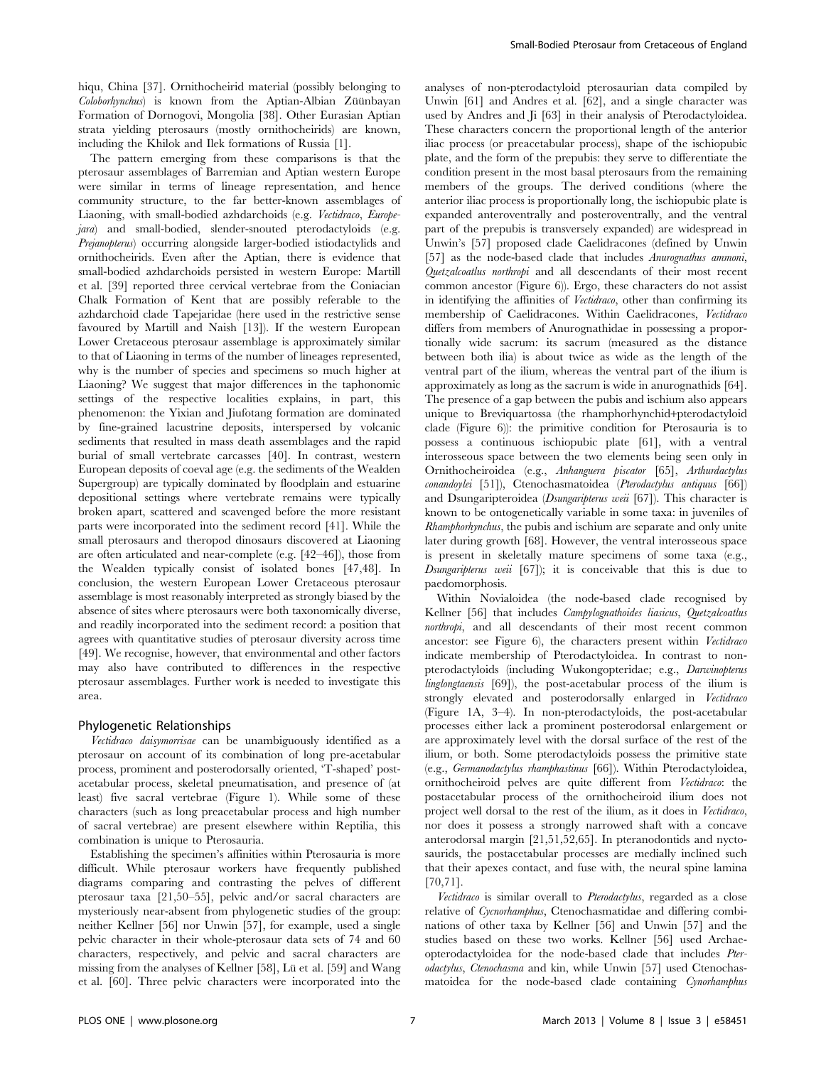hiqu, China [37]. Ornithocheirid material (possibly belonging to Coloborhynchus) is known from the Aptian-Albian Züünbayan Formation of Dornogovi, Mongolia [38]. Other Eurasian Aptian strata yielding pterosaurs (mostly ornithocheirids) are known, including the Khilok and Ilek formations of Russia [1].

The pattern emerging from these comparisons is that the pterosaur assemblages of Barremian and Aptian western Europe were similar in terms of lineage representation, and hence community structure, to the far better-known assemblages of Liaoning, with small-bodied azhdarchoids (e.g. Vectidraco, Europejara) and small-bodied, slender-snouted pterodactyloids (e.g. Prejanopterus) occurring alongside larger-bodied istiodactylids and ornithocheirids. Even after the Aptian, there is evidence that small-bodied azhdarchoids persisted in western Europe: Martill et al. [39] reported three cervical vertebrae from the Coniacian Chalk Formation of Kent that are possibly referable to the azhdarchoid clade Tapejaridae (here used in the restrictive sense favoured by Martill and Naish [13]). If the western European Lower Cretaceous pterosaur assemblage is approximately similar to that of Liaoning in terms of the number of lineages represented, why is the number of species and specimens so much higher at Liaoning? We suggest that major differences in the taphonomic settings of the respective localities explains, in part, this phenomenon: the Yixian and Jiufotang formation are dominated by fine-grained lacustrine deposits, interspersed by volcanic sediments that resulted in mass death assemblages and the rapid burial of small vertebrate carcasses [40]. In contrast, western European deposits of coeval age (e.g. the sediments of the Wealden Supergroup) are typically dominated by floodplain and estuarine depositional settings where vertebrate remains were typically broken apart, scattered and scavenged before the more resistant parts were incorporated into the sediment record [41]. While the small pterosaurs and theropod dinosaurs discovered at Liaoning are often articulated and near-complete (e.g. [42–46]), those from the Wealden typically consist of isolated bones [47,48]. In conclusion, the western European Lower Cretaceous pterosaur assemblage is most reasonably interpreted as strongly biased by the absence of sites where pterosaurs were both taxonomically diverse, and readily incorporated into the sediment record: a position that agrees with quantitative studies of pterosaur diversity across time [49]. We recognise, however, that environmental and other factors may also have contributed to differences in the respective pterosaur assemblages. Further work is needed to investigate this area.

#### Phylogenetic Relationships

Vectidraco daisymorrisae can be unambiguously identified as a pterosaur on account of its combination of long pre-acetabular process, prominent and posterodorsally oriented, 'T-shaped' postacetabular process, skeletal pneumatisation, and presence of (at least) five sacral vertebrae (Figure 1). While some of these characters (such as long preacetabular process and high number of sacral vertebrae) are present elsewhere within Reptilia, this combination is unique to Pterosauria.

Establishing the specimen's affinities within Pterosauria is more difficult. While pterosaur workers have frequently published diagrams comparing and contrasting the pelves of different pterosaur taxa [21,50–55], pelvic and/or sacral characters are mysteriously near-absent from phylogenetic studies of the group: neither Kellner [56] nor Unwin [57], for example, used a single pelvic character in their whole-pterosaur data sets of 74 and 60 characters, respectively, and pelvic and sacral characters are missing from the analyses of Kellner [58], Lü et al. [59] and Wang et al. [60]. Three pelvic characters were incorporated into the

analyses of non-pterodactyloid pterosaurian data compiled by Unwin [61] and Andres et al. [62], and a single character was used by Andres and Ji [63] in their analysis of Pterodactyloidea. These characters concern the proportional length of the anterior iliac process (or preacetabular process), shape of the ischiopubic plate, and the form of the prepubis: they serve to differentiate the condition present in the most basal pterosaurs from the remaining members of the groups. The derived conditions (where the anterior iliac process is proportionally long, the ischiopubic plate is expanded anteroventrally and posteroventrally, and the ventral part of the prepubis is transversely expanded) are widespread in Unwin's [57] proposed clade Caelidracones (defined by Unwin [57] as the node-based clade that includes Anurognathus ammoni, Quetzalcoatlus northropi and all descendants of their most recent common ancestor (Figure 6)). Ergo, these characters do not assist in identifying the affinities of Vectidraco, other than confirming its membership of Caelidracones. Within Caelidracones, Vectidraco differs from members of Anurognathidae in possessing a proportionally wide sacrum: its sacrum (measured as the distance between both ilia) is about twice as wide as the length of the ventral part of the ilium, whereas the ventral part of the ilium is approximately as long as the sacrum is wide in anurognathids [64]. The presence of a gap between the pubis and ischium also appears unique to Breviquartossa (the rhamphorhynchid+pterodactyloid clade (Figure 6)): the primitive condition for Pterosauria is to possess a continuous ischiopubic plate [61], with a ventral interosseous space between the two elements being seen only in Ornithocheiroidea (e.g., Anhanguera piscator [65], Arthurdactylus conandoylei [51]), Ctenochasmatoidea (Pterodactylus antiquus [66]) and Dsungaripteroidea (Dsungaripterus weii [67]). This character is known to be ontogenetically variable in some taxa: in juveniles of Rhamphorhynchus, the pubis and ischium are separate and only unite later during growth [68]. However, the ventral interosseous space is present in skeletally mature specimens of some taxa (e.g., Dsungaripterus weii [67]); it is conceivable that this is due to paedomorphosis.

Within Novialoidea (the node-based clade recognised by Kellner [56] that includes Campylognathoides liasicus, Quetzalcoatlus northropi, and all descendants of their most recent common ancestor: see Figure 6), the characters present within Vectidraco indicate membership of Pterodactyloidea. In contrast to nonpterodactyloids (including Wukongopteridae; e.g., Darwinopterus linglongtaensis [69]), the post-acetabular process of the ilium is strongly elevated and posterodorsally enlarged in Vectidraco (Figure 1A, 3–4). In non-pterodactyloids, the post-acetabular processes either lack a prominent posterodorsal enlargement or are approximately level with the dorsal surface of the rest of the ilium, or both. Some pterodactyloids possess the primitive state (e.g., Germanodactylus rhamphastinus [66]). Within Pterodactyloidea, ornithocheiroid pelves are quite different from Vectidraco: the postacetabular process of the ornithocheiroid ilium does not project well dorsal to the rest of the ilium, as it does in Vectidraco, nor does it possess a strongly narrowed shaft with a concave anterodorsal margin [21,51,52,65]. In pteranodontids and nyctosaurids, the postacetabular processes are medially inclined such that their apexes contact, and fuse with, the neural spine lamina [70,71].

Vectidraco is similar overall to Pterodactylus, regarded as a close relative of Cycnorhamphus, Ctenochasmatidae and differing combinations of other taxa by Kellner [56] and Unwin [57] and the studies based on these two works. Kellner [56] used Archaeopterodactyloidea for the node-based clade that includes Pterodactylus, Ctenochasma and kin, while Unwin [57] used Ctenochasmatoidea for the node-based clade containing Cynorhamphus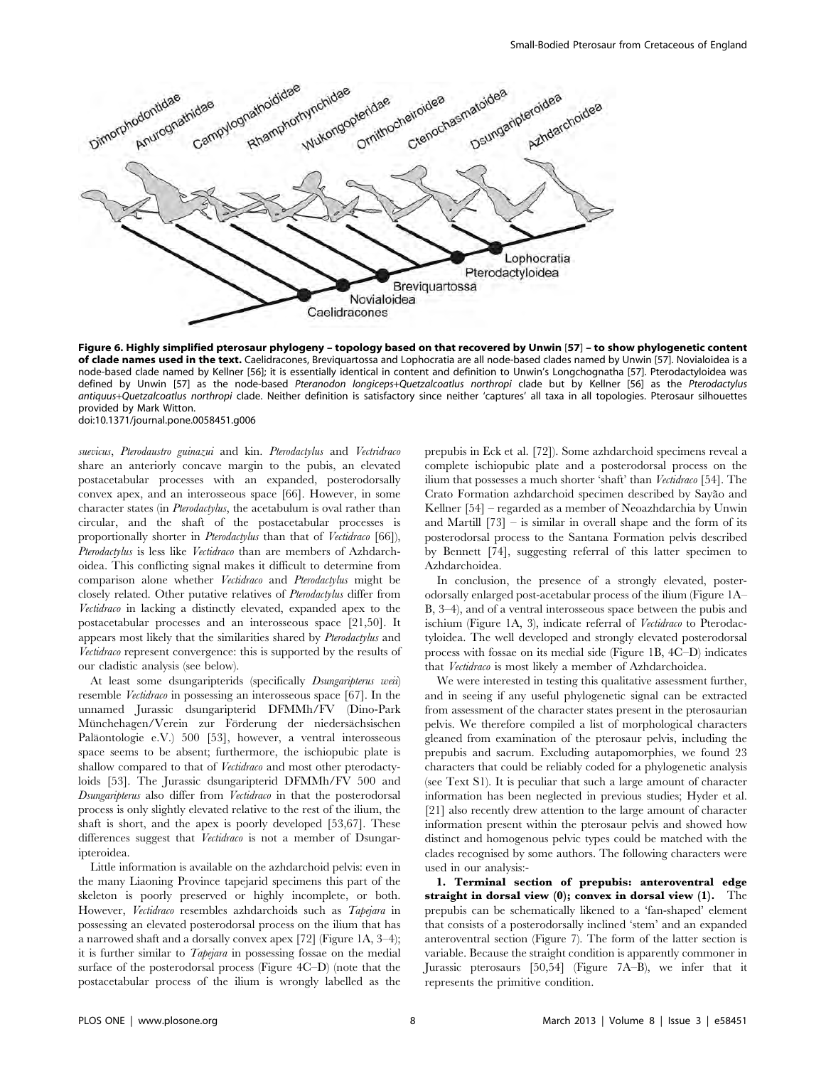

Figure 6. Highly simplified pterosaur phylogeny – topology based on that recovered by Unwin [57] – to show phylogenetic content of clade names used in the text. Caelidracones, Breviquartossa and Lophocratia are all node-based clades named by Unwin [57]. Novialoidea is a node-based clade named by Kellner [56]; it is essentially identical in content and definition to Unwin's Longchognatha [57]. Pterodactyloidea was defined by Unwin [57] as the node-based Pteranodon longiceps+Quetzalcoatlus northropi clade but by Kellner [56] as the Pterodactylus antiquus+Quetzalcoatlus northropi clade. Neither definition is satisfactory since neither 'captures' all taxa in all topologies. Pterosaur silhouettes provided by Mark Witton. doi:10.1371/journal.pone.0058451.g006

suevicus, Pterodaustro guinazui and kin. Pterodactylus and Vectridraco share an anteriorly concave margin to the pubis, an elevated postacetabular processes with an expanded, posterodorsally convex apex, and an interosseous space [66]. However, in some character states (in *Pterodactylus*, the acetabulum is oval rather than circular, and the shaft of the postacetabular processes is proportionally shorter in *Pterodactylus* than that of *Vectidraco* [66]), Pterodactylus is less like Vectidraco than are members of Azhdarchoidea. This conflicting signal makes it difficult to determine from comparison alone whether Vectidraco and Pterodactylus might be closely related. Other putative relatives of Pterodactylus differ from Vectidraco in lacking a distinctly elevated, expanded apex to the postacetabular processes and an interosseous space [21,50]. It appears most likely that the similarities shared by Pterodactylus and Vectidraco represent convergence: this is supported by the results of our cladistic analysis (see below).

At least some dsungaripterids (specifically *Dsungaripterus weii*) resemble Vectidraco in possessing an interosseous space [67]. In the unnamed Jurassic dsungaripterid DFMMh/FV (Dino-Park Münchehagen/Verein zur Förderung der niedersächsischen Paläontologie e.V.) 500 [53], however, a ventral interosseous space seems to be absent; furthermore, the ischiopubic plate is shallow compared to that of *Vectidraco* and most other pterodactyloids [53]. The Jurassic dsungaripterid DFMMh/FV 500 and Dsungaripterus also differ from Vectidraco in that the posterodorsal process is only slightly elevated relative to the rest of the ilium, the shaft is short, and the apex is poorly developed [53,67]. These differences suggest that Vectidraco is not a member of Dsungaripteroidea.

Little information is available on the azhdarchoid pelvis: even in the many Liaoning Province tapejarid specimens this part of the skeleton is poorly preserved or highly incomplete, or both. However, Vectidraco resembles azhdarchoids such as Tapejara in possessing an elevated posterodorsal process on the ilium that has a narrowed shaft and a dorsally convex apex [72] (Figure 1A, 3–4); it is further similar to Tapejara in possessing fossae on the medial surface of the posterodorsal process (Figure 4C–D) (note that the postacetabular process of the ilium is wrongly labelled as the prepubis in Eck et al. [72]). Some azhdarchoid specimens reveal a complete ischiopubic plate and a posterodorsal process on the ilium that possesses a much shorter 'shaft' than Vectidraco [54]. The Crato Formation azhdarchoid specimen described by Sayão and Kellner [54] – regarded as a member of Neoazhdarchia by Unwin and Martill  $[73]$  – is similar in overall shape and the form of its posterodorsal process to the Santana Formation pelvis described by Bennett [74], suggesting referral of this latter specimen to Azhdarchoidea.

In conclusion, the presence of a strongly elevated, posterodorsally enlarged post-acetabular process of the ilium (Figure 1A– B, 3–4), and of a ventral interosseous space between the pubis and ischium (Figure 1A, 3), indicate referral of Vectidraco to Pterodactyloidea. The well developed and strongly elevated posterodorsal process with fossae on its medial side (Figure 1B, 4C–D) indicates that Vectidraco is most likely a member of Azhdarchoidea.

We were interested in testing this qualitative assessment further, and in seeing if any useful phylogenetic signal can be extracted from assessment of the character states present in the pterosaurian pelvis. We therefore compiled a list of morphological characters gleaned from examination of the pterosaur pelvis, including the prepubis and sacrum. Excluding autapomorphies, we found 23 characters that could be reliably coded for a phylogenetic analysis (see Text S1). It is peculiar that such a large amount of character information has been neglected in previous studies; Hyder et al. [21] also recently drew attention to the large amount of character information present within the pterosaur pelvis and showed how distinct and homogenous pelvic types could be matched with the clades recognised by some authors. The following characters were used in our analysis:-

1. Terminal section of prepubis: anteroventral edge straight in dorsal view (0); convex in dorsal view (1). The prepubis can be schematically likened to a 'fan-shaped' element that consists of a posterodorsally inclined 'stem' and an expanded anteroventral section (Figure 7). The form of the latter section is variable. Because the straight condition is apparently commoner in Jurassic pterosaurs [50,54] (Figure 7A–B), we infer that it represents the primitive condition.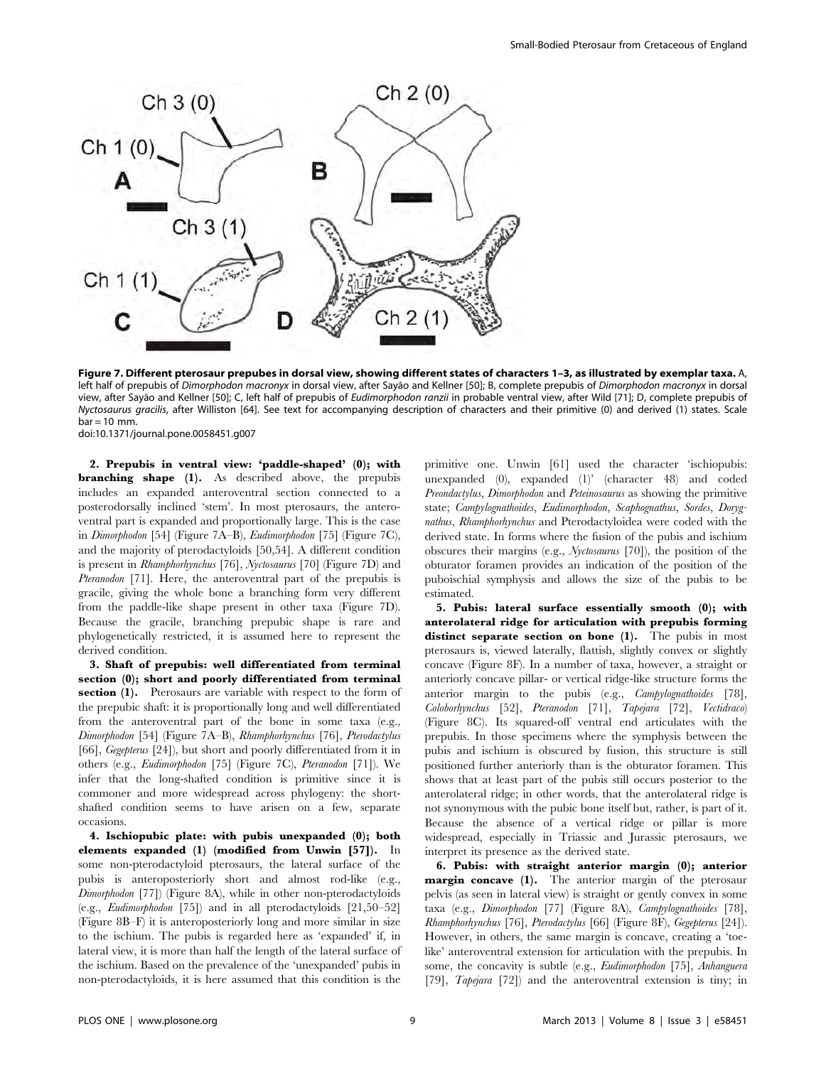

Figure 7. Different pterosaur prepubes in dorsal view, showing different states of characters 1–3, as illustrated by exemplar taxa. A, left half of prepubis of Dimorphodon macronyx in dorsal view, after Sayão and Kellner [50]; B, complete prepubis of Dimorphodon macronyx in dorsal view, after Sayão and Kellner [50]; C, left half of prepubis of Eudimorphodon ranzii in probable ventral view, after Wild [71]; D, complete prepubis of Nyctosaurus gracilis, after Williston [64]. See text for accompanying description of characters and their primitive (0) and derived (1) states. Scale  $bar = 10$  mm. doi:10.1371/journal.pone.0058451.g007

2. Prepubis in ventral view: 'paddle-shaped' (0); with branching shape (1). As described above, the prepubis includes an expanded anteroventral section connected to a posterodorsally inclined 'stem'. In most pterosaurs, the anteroventral part is expanded and proportionally large. This is the case in Dimorphodon [54] (Figure 7A–B), Eudimorphodon [75] (Figure 7C), and the majority of pterodactyloids [50,54]. A different condition is present in Rhamphorhynchus [76], Nyctosaurus [70] (Figure 7D) and Pteranodon [71]. Here, the anteroventral part of the prepubis is gracile, giving the whole bone a branching form very different from the paddle-like shape present in other taxa (Figure 7D). Because the gracile, branching prepubic shape is rare and phylogenetically restricted, it is assumed here to represent the derived condition.

3. Shaft of prepubis: well differentiated from terminal section (0); short and poorly differentiated from terminal section (1). Pterosaurs are variable with respect to the form of the prepubic shaft: it is proportionally long and well differentiated from the anteroventral part of the bone in some taxa (e.g., Dimorphodon [54] (Figure 7A–B), Rhamphorhynchus [76], Pterodactylus [66], Gegepterus [24]), but short and poorly differentiated from it in others (e.g., Eudimorphodon [75] (Figure 7C), Pteranodon [71]). We infer that the long-shafted condition is primitive since it is commoner and more widespread across phylogeny: the shortshafted condition seems to have arisen on a few, separate occasions.

4. Ischiopubic plate: with pubis unexpanded (0); both elements expanded (1) (modified from Unwin [57]). In some non-pterodactyloid pterosaurs, the lateral surface of the pubis is anteroposteriorly short and almost rod-like (e.g., Dimorphodon [77]) (Figure 8A), while in other non-pterodactyloids (e.g., Eudimorphodon [75]) and in all pterodactyloids [21,50–52] (Figure 8B–F) it is anteroposteriorly long and more similar in size to the ischium. The pubis is regarded here as 'expanded' if, in lateral view, it is more than half the length of the lateral surface of the ischium. Based on the prevalence of the 'unexpanded' pubis in non-pterodactyloids, it is here assumed that this condition is the primitive one. Unwin [61] used the character 'ischiopubis: unexpanded (0), expanded (1)' (character 48) and coded Preondactylus, Dimorphodon and Peteinosaurus as showing the primitive state; Campylognathoides, Eudimorphodon, Scaphognathus, Sordes, Dorygnathus, Rhamphorhynchus and Pterodactyloidea were coded with the derived state. In forms where the fusion of the pubis and ischium obscures their margins (e.g., Nyctosaurus [70]), the position of the obturator foramen provides an indication of the position of the puboischial symphysis and allows the size of the pubis to be estimated.

5. Pubis: lateral surface essentially smooth (0); with anterolateral ridge for articulation with prepubis forming distinct separate section on bone (1). The pubis in most pterosaurs is, viewed laterally, flattish, slightly convex or slightly concave (Figure 8F). In a number of taxa, however, a straight or anteriorly concave pillar- or vertical ridge-like structure forms the anterior margin to the pubis (e.g., Campylognathoides [78], Coloborhynchus [52], Pteranodon [71], Tapejara [72], Vectidraco) (Figure 8C). Its squared-off ventral end articulates with the prepubis. In those specimens where the symphysis between the pubis and ischium is obscured by fusion, this structure is still positioned further anteriorly than is the obturator foramen. This shows that at least part of the pubis still occurs posterior to the anterolateral ridge; in other words, that the anterolateral ridge is not synonymous with the pubic bone itself but, rather, is part of it. Because the absence of a vertical ridge or pillar is more widespread, especially in Triassic and Jurassic pterosaurs, we interpret its presence as the derived state.

6. Pubis: with straight anterior margin (0); anterior margin concave (1). The anterior margin of the pterosaur pelvis (as seen in lateral view) is straight or gently convex in some taxa (e.g., Dimorphodon [77] (Figure 8A), Campylognathoides [78], Rhamphorhynchus [76], Pterodactylus [66] (Figure 8F), Gegepterus [24]). However, in others, the same margin is concave, creating a 'toelike' anteroventral extension for articulation with the prepubis. In some, the concavity is subtle (e.g., *Eudimorphodon* [75], *Anhanguera* [79], Tapejara [72]) and the anteroventral extension is tiny; in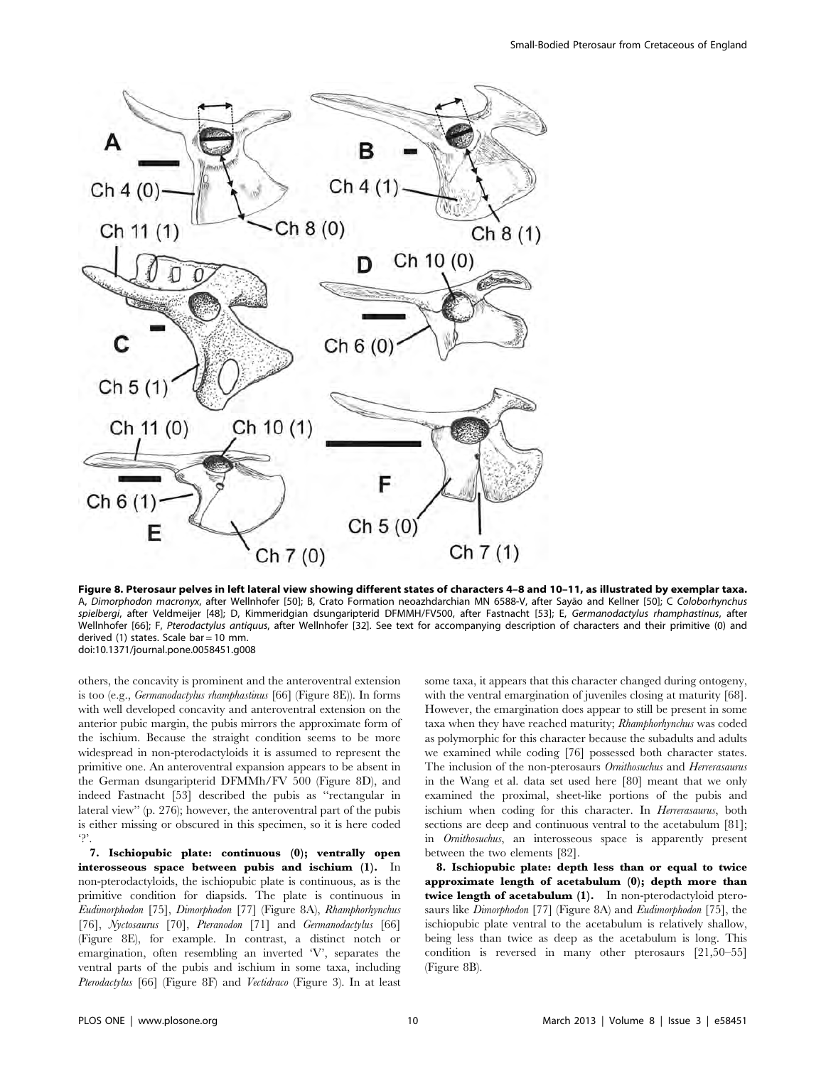

Figure 8. Pterosaur pelves in left lateral view showing different states of characters 4–8 and 10–11, as illustrated by exemplar taxa. A, Dimorphodon macronyx, after Wellnhofer [50]; B, Crato Formation neoazhdarchian MN 6588-V, after Sayão and Kellner [50]; C Coloborhynchus spielbergi, after Veldmeijer [48]; D, Kimmeridgian dsungaripterid DFMMH/FV500, after Fastnacht [53]; E, Germanodactylus rhamphastinus, after Wellnhofer [66]; F, Pterodactylus antiquus, after Wellnhofer [32]. See text for accompanying description of characters and their primitive (0) and derived (1) states. Scale bar = 10 mm. doi:10.1371/journal.pone.0058451.g008

others, the concavity is prominent and the anteroventral extension is too (e.g., Germanodactylus rhamphastinus [66] (Figure 8E)). In forms with well developed concavity and anteroventral extension on the anterior pubic margin, the pubis mirrors the approximate form of the ischium. Because the straight condition seems to be more widespread in non-pterodactyloids it is assumed to represent the primitive one. An anteroventral expansion appears to be absent in the German dsungaripterid DFMMh/FV 500 (Figure 8D), and indeed Fastnacht [53] described the pubis as ''rectangular in lateral view'' (p. 276); however, the anteroventral part of the pubis is either missing or obscured in this specimen, so it is here coded  $\Delta$ 

7. Ischiopubic plate: continuous (0); ventrally open interosseous space between pubis and ischium (1). In non-pterodactyloids, the ischiopubic plate is continuous, as is the primitive condition for diapsids. The plate is continuous in Eudimorphodon [75], Dimorphodon [77] (Figure 8A), Rhamphorhynchus [76], Nyctosaurus [70], Pteranodon [71] and Germanodactylus [66] (Figure 8E), for example. In contrast, a distinct notch or emargination, often resembling an inverted 'V', separates the ventral parts of the pubis and ischium in some taxa, including Pterodactylus [66] (Figure 8F) and Vectidraco (Figure 3). In at least some taxa, it appears that this character changed during ontogeny, with the ventral emargination of juveniles closing at maturity [68]. However, the emargination does appear to still be present in some taxa when they have reached maturity; Rhamphorhynchus was coded as polymorphic for this character because the subadults and adults we examined while coding [76] possessed both character states. The inclusion of the non-pterosaurs Omithosuchus and Herrerasaurus in the Wang et al. data set used here [80] meant that we only examined the proximal, sheet-like portions of the pubis and ischium when coding for this character. In Herrerasaurus, both sections are deep and continuous ventral to the acetabulum [81]; in Ornithosuchus, an interosseous space is apparently present between the two elements [82].

8. Ischiopubic plate: depth less than or equal to twice approximate length of acetabulum (0); depth more than twice length of acetabulum (1). In non-pterodactyloid pterosaurs like Dimorphodon [77] (Figure 8A) and Eudimorphodon [75], the ischiopubic plate ventral to the acetabulum is relatively shallow, being less than twice as deep as the acetabulum is long. This condition is reversed in many other pterosaurs [21,50–55] (Figure 8B).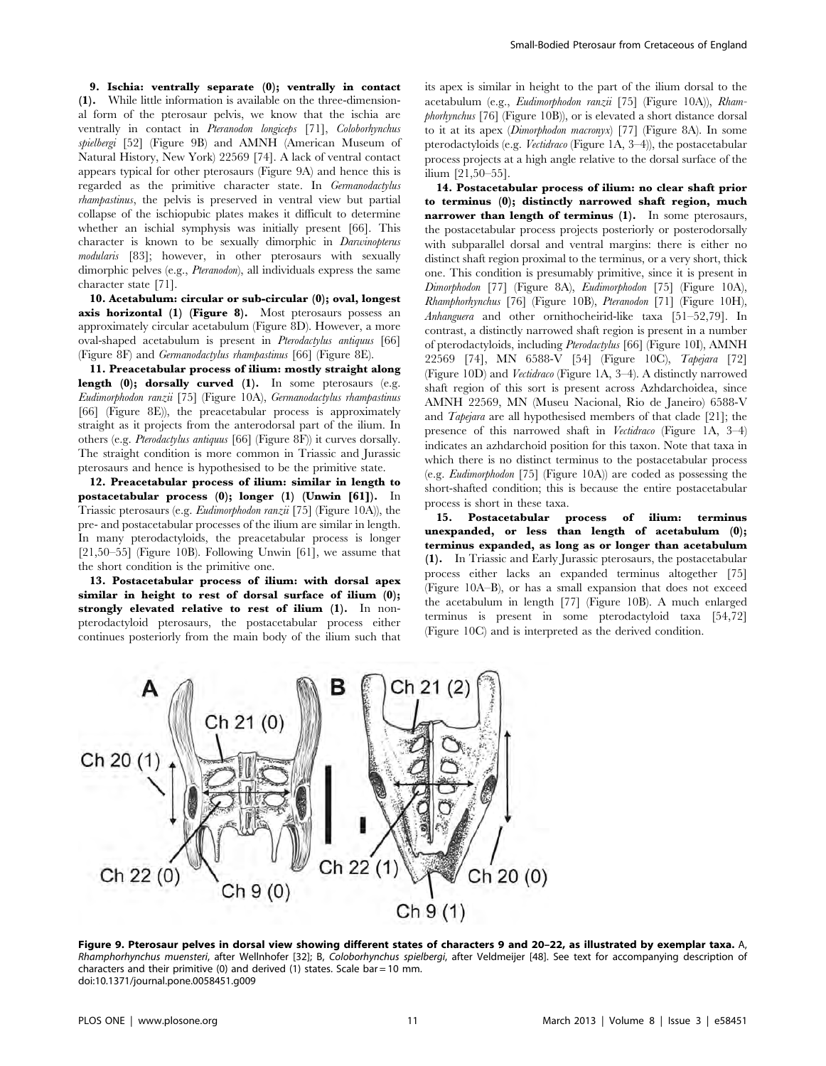9. Ischia: ventrally separate (0); ventrally in contact (1). While little information is available on the three-dimensional form of the pterosaur pelvis, we know that the ischia are ventrally in contact in Pteranodon longiceps [71], Coloborhynchus spielbergi [52] (Figure 9B) and AMNH (American Museum of Natural History, New York) 22569 [74]. A lack of ventral contact appears typical for other pterosaurs (Figure 9A) and hence this is regarded as the primitive character state. In Germanodactylus rhampastinus, the pelvis is preserved in ventral view but partial collapse of the ischiopubic plates makes it difficult to determine whether an ischial symphysis was initially present [66]. This character is known to be sexually dimorphic in Darwinopterus modularis [83]; however, in other pterosaurs with sexually dimorphic pelves (e.g., Pteranodon), all individuals express the same character state [71].

10. Acetabulum: circular or sub-circular (0); oval, longest axis horizontal (1) (Figure 8). Most pterosaurs possess an approximately circular acetabulum (Figure 8D). However, a more oval-shaped acetabulum is present in Pterodactylus antiquus [66] (Figure 8F) and Germanodactylus rhampastinus [66] (Figure 8E).

11. Preacetabular process of ilium: mostly straight along length (0); dorsally curved (1). In some pterosaurs (e.g. Eudimorphodon ranzii [75] (Figure 10A), Germanodactylus rhampastinus [66] (Figure 8E)), the preacetabular process is approximately straight as it projects from the anterodorsal part of the ilium. In others (e.g. Pterodactylus antiquus [66] (Figure 8F)) it curves dorsally. The straight condition is more common in Triassic and Jurassic pterosaurs and hence is hypothesised to be the primitive state.

12. Preacetabular process of ilium: similar in length to postacetabular process (0); longer (1) (Unwin [61]). In Triassic pterosaurs (e.g. Eudimorphodon ranzii [75] (Figure 10A)), the pre- and postacetabular processes of the ilium are similar in length. In many pterodactyloids, the preacetabular process is longer [21,50–55] (Figure 10B). Following Unwin [61], we assume that the short condition is the primitive one.

13. Postacetabular process of ilium: with dorsal apex similar in height to rest of dorsal surface of ilium (0); strongly elevated relative to rest of ilium (1). In nonpterodactyloid pterosaurs, the postacetabular process either continues posteriorly from the main body of the ilium such that its apex is similar in height to the part of the ilium dorsal to the acetabulum (e.g., Eudimorphodon ranzii [75] (Figure 10A)), Rhamphorhynchus [76] (Figure 10B)), or is elevated a short distance dorsal to it at its apex (Dimorphodon macronyx) [77] (Figure 8A). In some pterodactyloids (e.g. Vectidraco (Figure 1A, 3–4)), the postacetabular process projects at a high angle relative to the dorsal surface of the ilium [21,50–55].

14. Postacetabular process of ilium: no clear shaft prior to terminus (0); distinctly narrowed shaft region, much narrower than length of terminus (1). In some pterosaurs, the postacetabular process projects posteriorly or posterodorsally with subparallel dorsal and ventral margins: there is either no distinct shaft region proximal to the terminus, or a very short, thick one. This condition is presumably primitive, since it is present in Dimorphodon [77] (Figure 8A), Eudimorphodon [75] (Figure 10A), Rhamphorhynchus [76] (Figure 10B), Pteranodon [71] (Figure 10H), Anhanguera and other ornithocheirid-like taxa [51–52,79]. In contrast, a distinctly narrowed shaft region is present in a number of pterodactyloids, including Pterodactylus [66] (Figure 10I), AMNH 22569 [74], MN 6588-V [54] (Figure 10C), Tapejara [72] (Figure 10D) and Vectidraco (Figure 1A, 3–4). A distinctly narrowed shaft region of this sort is present across Azhdarchoidea, since AMNH 22569, MN (Museu Nacional, Rio de Janeiro) 6588-V and Tapejara are all hypothesised members of that clade [21]; the presence of this narrowed shaft in Vectidraco (Figure 1A, 3–4) indicates an azhdarchoid position for this taxon. Note that taxa in which there is no distinct terminus to the postacetabular process (e.g. Eudimorphodon [75] (Figure 10A)) are coded as possessing the short-shafted condition; this is because the entire postacetabular process is short in these taxa.

15. Postacetabular process of ilium: terminus unexpanded, or less than length of acetabulum (0); terminus expanded, as long as or longer than acetabulum (1). In Triassic and Early Jurassic pterosaurs, the postacetabular process either lacks an expanded terminus altogether [75] (Figure 10A–B), or has a small expansion that does not exceed the acetabulum in length [77] (Figure 10B). A much enlarged terminus is present in some pterodactyloid taxa [54,72] (Figure 10C) and is interpreted as the derived condition.



Figure 9. Pterosaur pelves in dorsal view showing different states of characters 9 and 20–22, as illustrated by exemplar taxa. A, Rhamphorhynchus muensteri, after Wellnhofer [32]; B, Coloborhynchus spielbergi, after Veldmeijer [48]. See text for accompanying description of characters and their primitive (0) and derived (1) states. Scale bar = 10 mm. doi:10.1371/journal.pone.0058451.g009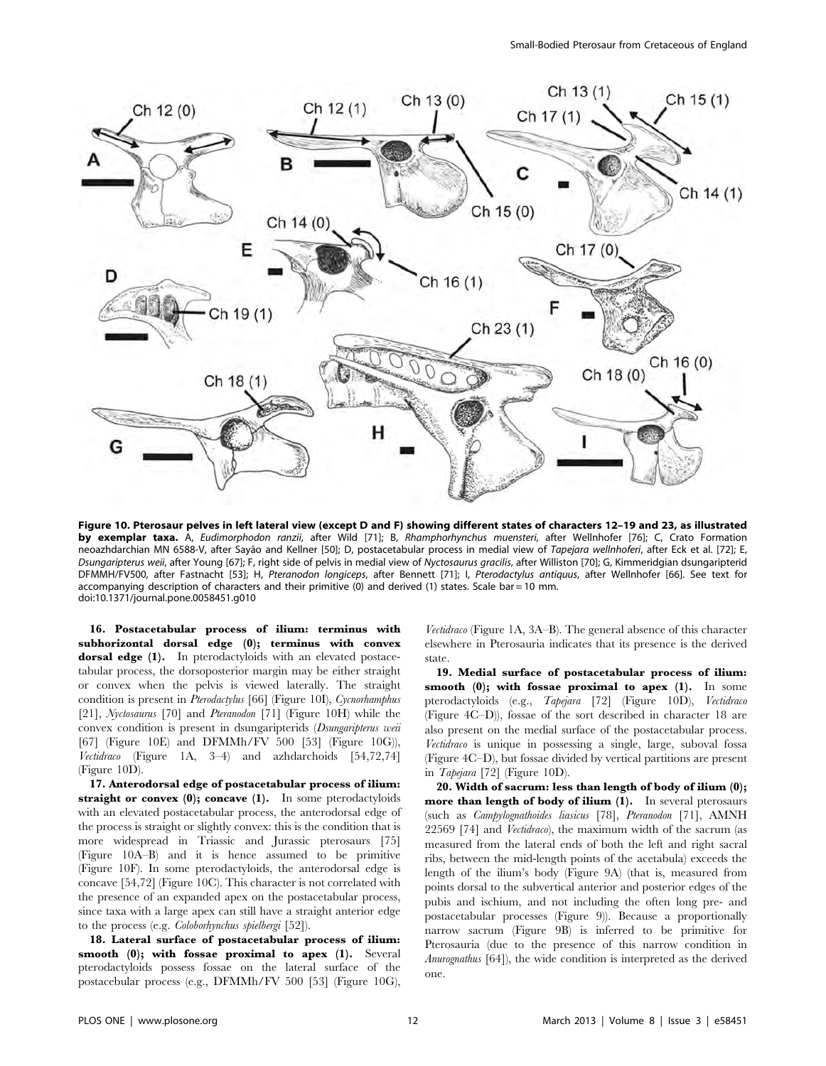

Figure 10. Pterosaur pelves in left lateral view (except D and F) showing different states of characters 12–19 and 23, as illustrated by exemplar taxa. A, Eudimorphodon ranzii, after Wild [71]; B, Rhamphorhynchus muensteri, after Wellnhofer [76]; C, Crato Formation neoazhdarchian MN 6588-V, after Sayão and Kellner [50]; D, postacetabular process in medial view of Tapejara wellnhoferi, after Eck et al. [72]; E, Dsungaripterus weii, after Young [67]; F, right side of pelvis in medial view of Nyctosaurus gracilis, after Williston [70]; G, Kimmeridgian dsungaripterid DFMMH/FV500, after Fastnacht [53]; H, Pteranodon longiceps, after Bennett [71]; I, Pterodactylus antiquus, after Wellnhofer [66]. See text for accompanying description of characters and their primitive (0) and derived (1) states. Scale bar = 10 mm. doi:10.1371/journal.pone.0058451.g010

16. Postacetabular process of ilium: terminus with subhorizontal dorsal edge (0); terminus with convex dorsal edge (1). In pterodactyloids with an elevated postacetabular process, the dorsoposterior margin may be either straight or convex when the pelvis is viewed laterally. The straight condition is present in Pterodactylus [66] (Figure 10I), Cycnorhamphus [21], Nyctosaurus [70] and Pteranodon [71] (Figure 10H) while the convex condition is present in dsungaripterids (Dsungaripterus weii [67] (Figure 10E) and DFMMh/FV 500 [53] (Figure 10G)), Vectidraco (Figure 1A, 3–4) and azhdarchoids [54,72,74] (Figure 10D).

17. Anterodorsal edge of postacetabular process of ilium: straight or convex (0); concave (1). In some pterodactyloids with an elevated postacetabular process, the anterodorsal edge of the process is straight or slightly convex: this is the condition that is more widespread in Triassic and Jurassic pterosaurs [75] (Figure 10A–B) and it is hence assumed to be primitive (Figure 10F). In some pterodactyloids, the anterodorsal edge is concave [54,72] (Figure 10C). This character is not correlated with the presence of an expanded apex on the postacetabular process, since taxa with a large apex can still have a straight anterior edge to the process (e.g. Coloborhynchus spielbergi [52]).

18. Lateral surface of postacetabular process of ilium: smooth (0); with fossae proximal to apex (1). Several pterodactyloids possess fossae on the lateral surface of the postacebular process (e.g., DFMMh/FV 500 [53] (Figure 10G),

Vectidraco (Figure 1A, 3A–B). The general absence of this character elsewhere in Pterosauria indicates that its presence is the derived state.

19. Medial surface of postacetabular process of ilium: smooth  $(0)$ ; with fossae proximal to apex  $(1)$ . In some pterodactyloids (e.g., Tapejara [72] (Figure 10D), Vectidraco (Figure 4C–D)), fossae of the sort described in character 18 are also present on the medial surface of the postacetabular process. Vectidraco is unique in possessing a single, large, suboval fossa (Figure 4C–D), but fossae divided by vertical partitions are present in Tapejara [72] (Figure 10D).

20. Width of sacrum: less than length of body of ilium (0); more than length of body of ilium (1). In several pterosaurs (such as Campylognathoides liasicus [78], Pteranodon [71], AMNH 22569 [74] and Vectidraco), the maximum width of the sacrum (as measured from the lateral ends of both the left and right sacral ribs, between the mid-length points of the acetabula) exceeds the length of the ilium's body (Figure 9A) (that is, measured from points dorsal to the subvertical anterior and posterior edges of the pubis and ischium, and not including the often long pre- and postacetabular processes (Figure 9)). Because a proportionally narrow sacrum (Figure 9B) is inferred to be primitive for Pterosauria (due to the presence of this narrow condition in Anurognathus [64]), the wide condition is interpreted as the derived one.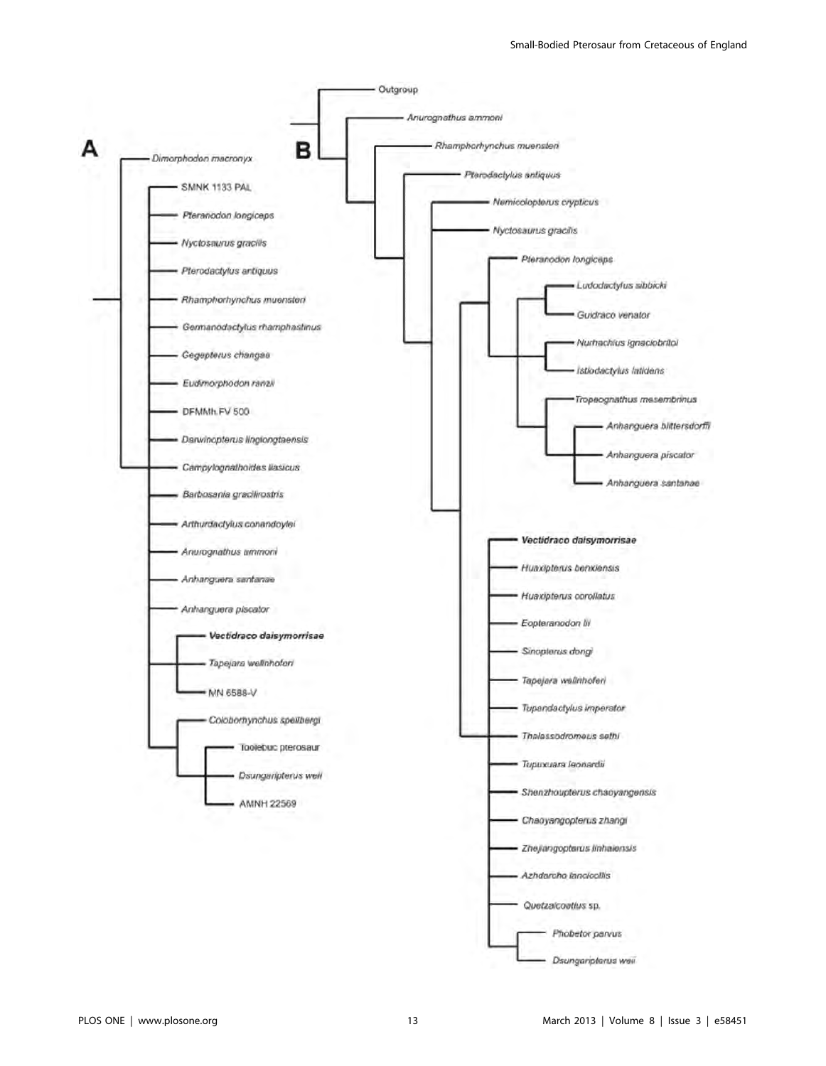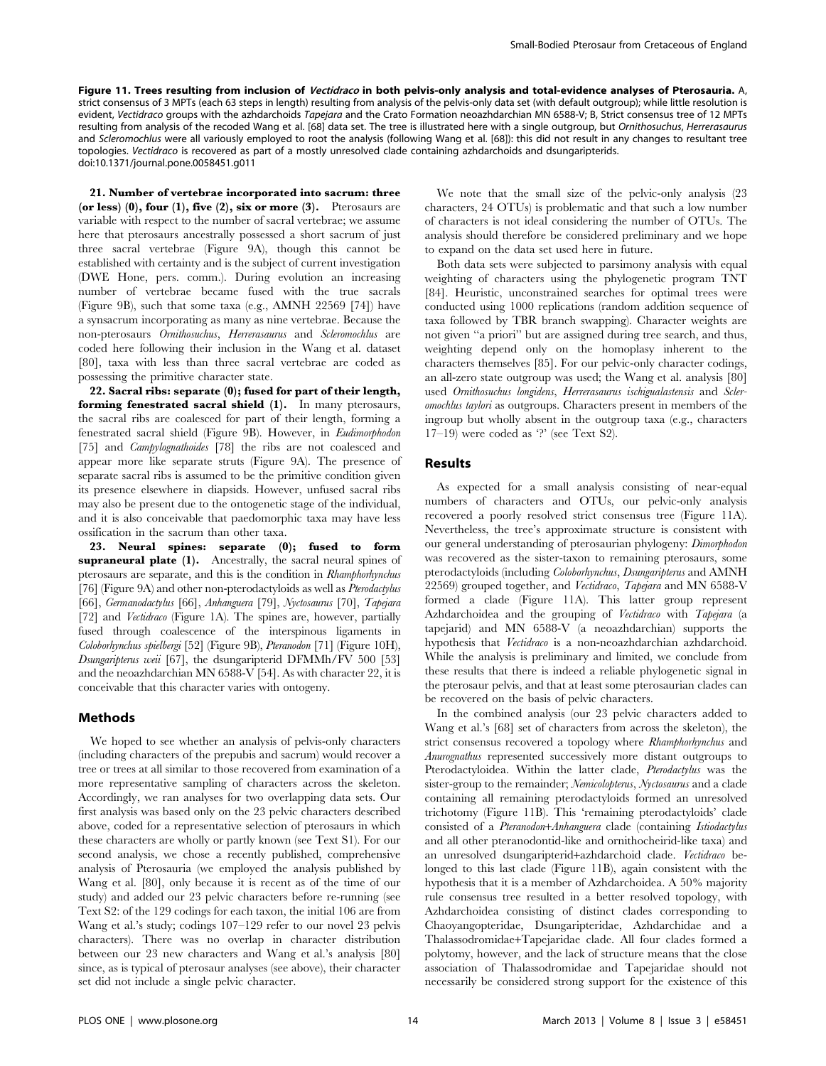Figure 11. Trees resulting from inclusion of Vectidraco in both pelvis-only analysis and total-evidence analyses of Pterosauria. A, strict consensus of 3 MPTs (each 63 steps in length) resulting from analysis of the pelvis-only data set (with default outgroup); while little resolution is evident, Vectidraco groups with the azhdarchoids Tapejara and the Crato Formation neoazhdarchian MN 6588-V; B, Strict consensus tree of 12 MPTs resulting from analysis of the recoded Wang et al. [68] data set. The tree is illustrated here with a single outgroup, but Ornithosuchus, Herrerasaurus and Scleromochlus were all variously employed to root the analysis (following Wang et al. [68]): this did not result in any changes to resultant tree topologies. Vectidraco is recovered as part of a mostly unresolved clade containing azhdarchoids and dsungaripterids. doi:10.1371/journal.pone.0058451.g011

21. Number of vertebrae incorporated into sacrum: three (or less)  $(0)$ , four  $(1)$ , five  $(2)$ , six or more  $(3)$ . Pterosaurs are variable with respect to the number of sacral vertebrae; we assume here that pterosaurs ancestrally possessed a short sacrum of just three sacral vertebrae (Figure 9A), though this cannot be established with certainty and is the subject of current investigation (DWE Hone, pers. comm.). During evolution an increasing number of vertebrae became fused with the true sacrals (Figure 9B), such that some taxa (e.g., AMNH 22569 [74]) have a synsacrum incorporating as many as nine vertebrae. Because the non-pterosaurs Ornithosuchus, Herrerasaurus and Scleromochlus are coded here following their inclusion in the Wang et al. dataset [80], taxa with less than three sacral vertebrae are coded as possessing the primitive character state.

22. Sacral ribs: separate (0); fused for part of their length, forming fenestrated sacral shield (1). In many pterosaurs, the sacral ribs are coalesced for part of their length, forming a fenestrated sacral shield (Figure 9B). However, in Eudimorphodon [75] and *Campylognathoides* [78] the ribs are not coalesced and appear more like separate struts (Figure 9A). The presence of separate sacral ribs is assumed to be the primitive condition given its presence elsewhere in diapsids. However, unfused sacral ribs may also be present due to the ontogenetic stage of the individual, and it is also conceivable that paedomorphic taxa may have less ossification in the sacrum than other taxa.

23. Neural spines: separate (0); fused to form supraneural plate (1). Ancestrally, the sacral neural spines of pterosaurs are separate, and this is the condition in Rhamphorhynchus [76] (Figure 9A) and other non-pterodactyloids as well as Pterodactylus [66], Germanodactylus [66], Anhanguera [79], Nyctosaurus [70], Tapejara [72] and *Vectidraco* (Figure 1A). The spines are, however, partially fused through coalescence of the interspinous ligaments in Coloborhynchus spielbergi [52] (Figure 9B), Pteranodon [71] (Figure 10H), Dsungaripterus weii [67], the dsungaripterid DFMMh/FV 500 [53] and the neoazhdarchian MN 6588-V [54]. As with character 22, it is conceivable that this character varies with ontogeny.

#### Methods

We hoped to see whether an analysis of pelvis-only characters (including characters of the prepubis and sacrum) would recover a tree or trees at all similar to those recovered from examination of a more representative sampling of characters across the skeleton. Accordingly, we ran analyses for two overlapping data sets. Our first analysis was based only on the 23 pelvic characters described above, coded for a representative selection of pterosaurs in which these characters are wholly or partly known (see Text S1). For our second analysis, we chose a recently published, comprehensive analysis of Pterosauria (we employed the analysis published by Wang et al. [80], only because it is recent as of the time of our study) and added our 23 pelvic characters before re-running (see Text S2: of the 129 codings for each taxon, the initial 106 are from Wang et al.'s study; codings 107–129 refer to our novel 23 pelvis characters). There was no overlap in character distribution between our 23 new characters and Wang et al.'s analysis [80] since, as is typical of pterosaur analyses (see above), their character set did not include a single pelvic character.

We note that the small size of the pelvic-only analysis (23 characters, 24 OTUs) is problematic and that such a low number of characters is not ideal considering the number of OTUs. The analysis should therefore be considered preliminary and we hope to expand on the data set used here in future.

Both data sets were subjected to parsimony analysis with equal weighting of characters using the phylogenetic program TNT [84]. Heuristic, unconstrained searches for optimal trees were conducted using 1000 replications (random addition sequence of taxa followed by TBR branch swapping). Character weights are not given ''a priori'' but are assigned during tree search, and thus, weighting depend only on the homoplasy inherent to the characters themselves [85]. For our pelvic-only character codings, an all-zero state outgroup was used; the Wang et al. analysis [80] used Ornithosuchus longidens, Herrerasaurus ischigualastensis and Scleromochlus taylori as outgroups. Characters present in members of the ingroup but wholly absent in the outgroup taxa (e.g., characters  $17-19$ ) were coded as '?' (see Text S2).

#### Results

As expected for a small analysis consisting of near-equal numbers of characters and OTUs, our pelvic-only analysis recovered a poorly resolved strict consensus tree (Figure 11A). Nevertheless, the tree's approximate structure is consistent with our general understanding of pterosaurian phylogeny: Dimorphodon was recovered as the sister-taxon to remaining pterosaurs, some pterodactyloids (including Coloborhynchus, Dsungaripterus and AMNH 22569) grouped together, and Vectidraco, Tapejara and MN 6588-V formed a clade (Figure 11A). This latter group represent Azhdarchoidea and the grouping of Vectidraco with Tapejara (a tapejarid) and MN 6588-V (a neoazhdarchian) supports the hypothesis that Vectidraco is a non-neoazhdarchian azhdarchoid. While the analysis is preliminary and limited, we conclude from these results that there is indeed a reliable phylogenetic signal in the pterosaur pelvis, and that at least some pterosaurian clades can be recovered on the basis of pelvic characters.

In the combined analysis (our 23 pelvic characters added to Wang et al.'s [68] set of characters from across the skeleton), the strict consensus recovered a topology where Rhamphorhynchus and Anurognathus represented successively more distant outgroups to Pterodactyloidea. Within the latter clade, Pterodactylus was the sister-group to the remainder; Nemicolopterus, Nyctosaurus and a clade containing all remaining pterodactyloids formed an unresolved trichotomy (Figure 11B). This 'remaining pterodactyloids' clade consisted of a Pteranodon+Anhanguera clade (containing Istiodactylus and all other pteranodontid-like and ornithocheirid-like taxa) and an unresolved dsungaripterid+azhdarchoid clade. Vectidraco belonged to this last clade (Figure 11B), again consistent with the hypothesis that it is a member of Azhdarchoidea. A 50% majority rule consensus tree resulted in a better resolved topology, with Azhdarchoidea consisting of distinct clades corresponding to Chaoyangopteridae, Dsungaripteridae, Azhdarchidae and a Thalassodromidae+Tapejaridae clade. All four clades formed a polytomy, however, and the lack of structure means that the close association of Thalassodromidae and Tapejaridae should not necessarily be considered strong support for the existence of this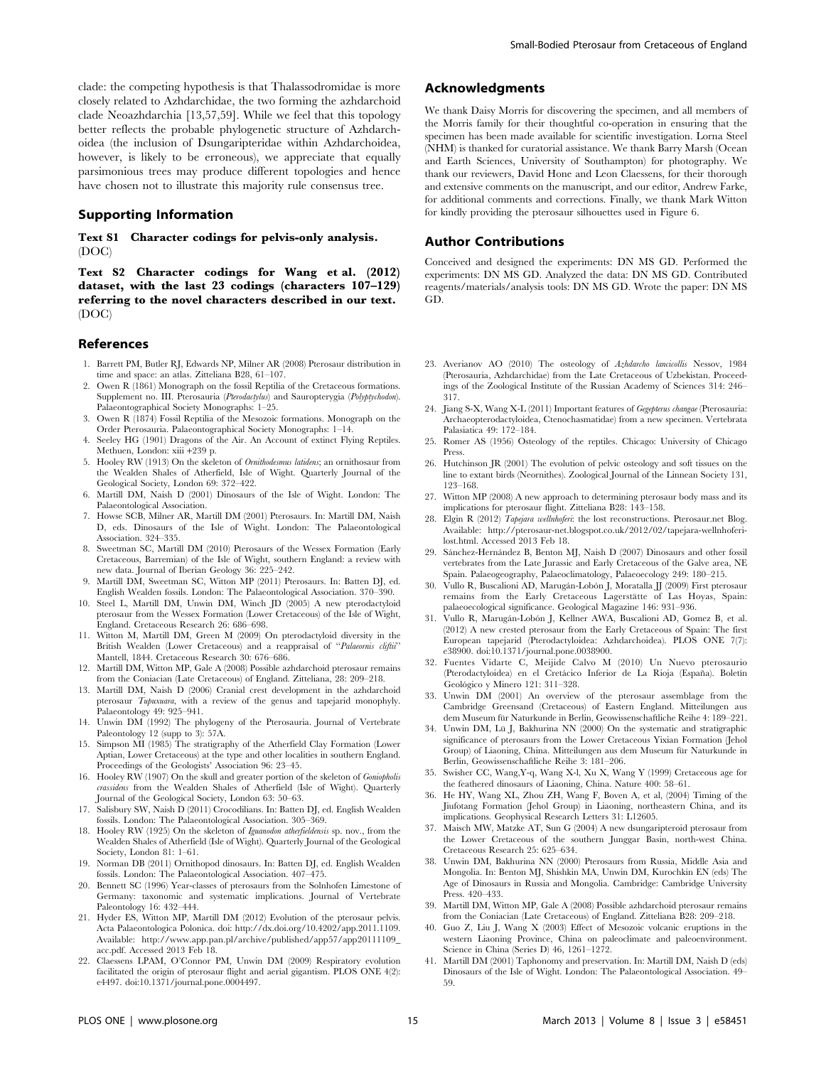#### Supporting Information

Text S1 Character codings for pelvis-only analysis. (DOC)

Text S2 Character codings for Wang et al. (2012) dataset, with the last 23 codings (characters 107–129) referring to the novel characters described in our text. (DOC)

#### References

- 1. Barrett PM, Butler RJ, Edwards NP, Milner AR (2008) Pterosaur distribution in time and space: an atlas. Zitteliana B28, 61–107.
- 2. Owen R (1861) Monograph on the fossil Reptilia of the Cretaceous formations. Supplement no. III. Pterosauria (Pterodactylus) and Sauropterygia (Polyptychodon). Palaeontographical Society Monographs: 1–25.
- 3. Owen R (1874) Fossil Reptilia of the Mesozoic formations. Monograph on the Order Pterosauria. Palaeontographical Society Monographs: 1–14.
- 4. Seeley HG (1901) Dragons of the Air. An Account of extinct Flying Reptiles. Methuen, London: xiii +239 p.
- 5. Hooley RW (1913) On the skeleton of Ornithodesmus latidens; an ornithosaur from the Wealden Shales of Atherfield, Isle of Wight. Quarterly Journal of the Geological Society, London 69: 372–422.
- 6. Martill DM, Naish D (2001) Dinosaurs of the Isle of Wight. London: The Palaeontological Association.
- 7. Howse SCB, Milner AR, Martill DM (2001) Pterosaurs. In: Martill DM, Naish D, eds. Dinosaurs of the Isle of Wight. London: The Palaeontological Association. 324–335.
- 8. Sweetman SC, Martill DM (2010) Pterosaurs of the Wessex Formation (Early Cretaceous, Barremian) of the Isle of Wight, southern England: a review with new data. Journal of Iberian Geology 36: 225–242.
- 9. Martill DM, Sweetman SC, Witton MP (2011) Pterosaurs. In: Batten DJ, ed. English Wealden fossils. London: The Palaeontological Association. 370–390.
- 10. Steel L, Martill DM, Unwin DM, Winch JD (2005) A new pterodactyloid pterosaur from the Wessex Formation (Lower Cretaceous) of the Isle of Wight, England. Cretaceous Research 26: 686–698.
- 11. Witton M, Martill DM, Green M (2009) On pterodactyloid diversity in the British Wealden (Lower Cretaceous) and a reappraisal of "Palaeornis cliftii" Mantell, 1844. Cretaceous Research 30: 676–686.
- 12. Martill DM, Witton MP, Gale A (2008) Possible azhdarchoid pterosaur remains from the Coniacian (Late Cretaceous) of England. Zitteliana, 28: 209–218.
- 13. Martill DM, Naish D (2006) Cranial crest development in the azhdarchoid pterosaur Tupuxuara, with a review of the genus and tapejarid monophyly. Palaeontology 49: 925–941.
- 14. Unwin DM (1992) The phylogeny of the Pterosauria. Journal of Vertebrate Paleontology 12 (supp to 3): 57A.
- 15. Simpson MI (1985) The stratigraphy of the Atherfield Clay Formation (Lower Aptian, Lower Cretaceous) at the type and other localities in southern England. Proceedings of the Geologists' Association 96: 23–45.
- 16. Hooley RW (1907) On the skull and greater portion of the skeleton of Goniopholis crassidens from the Wealden Shales of Atherfield (Isle of Wight). Quarterly Journal of the Geological Society, London 63: 50–63.
- 17. Salisbury SW, Naish D (2011) Crocodilians. In: Batten DJ, ed. English Wealden fossils. London: The Palaeontological Association. 305–369.
- 18. Hooley RW (1925) On the skeleton of Iguanodon atherfieldensis sp. nov., from the Wealden Shales of Atherfield (Isle of Wight). Quarterly Journal of the Geological Society, London 81: 1–61.
- 19. Norman DB (2011) Ornithopod dinosaurs. In: Batten DJ, ed. English Wealden fossils. London: The Palaeontological Association. 407–475.
- 20. Bennett SC (1996) Year-classes of pterosaurs from the Solnhofen Limestone of Germany: taxonomic and systematic implications. Journal of Vertebrate Paleontology 16: 432–444.
- 21. Hyder ES, Witton MP, Martill DM (2012) Evolution of the pterosaur pelvis. Acta Palaeontologica Polonica. doi: http://dx.doi.org/10.4202/app.2011.1109. Available: http://www.app.pan.pl/archive/published/app57/app20111109\_ acc.pdf. Accessed 2013 Feb 18.
- 22. Claessens LPAM, O'Connor PM, Unwin DM (2009) Respiratory evolution facilitated the origin of pterosaur flight and aerial gigantism. PLOS ONE 4(2): e4497. doi:10.1371/journal.pone.0004497.

# Acknowledgments

We thank Daisy Morris for discovering the specimen, and all members of the Morris family for their thoughtful co-operation in ensuring that the specimen has been made available for scientific investigation. Lorna Steel (NHM) is thanked for curatorial assistance. We thank Barry Marsh (Ocean and Earth Sciences, University of Southampton) for photography. We thank our reviewers, David Hone and Leon Claessens, for their thorough and extensive comments on the manuscript, and our editor, Andrew Farke, for additional comments and corrections. Finally, we thank Mark Witton for kindly providing the pterosaur silhouettes used in Figure 6.

## Author Contributions

Conceived and designed the experiments: DN MS GD. Performed the experiments: DN MS GD. Analyzed the data: DN MS GD. Contributed reagents/materials/analysis tools: DN MS GD. Wrote the paper: DN MS GD.

- 23. Averianov AO (2010) The osteology of Azhdarcho lancicollis Nessov, 1984 (Pterosauria, Azhdarchidae) from the Late Cretaceous of Uzbekistan. Proceedings of the Zoological Institute of the Russian Academy of Sciences 314: 246– 317.
- 24. Jiang S-X, Wang X-L (2011) Important features of Gegepterus changae (Pterosauria: Archaeopterodactyloidea, Ctenochasmatidae) from a new specimen. Vertebrata Palasiatica 49: 172–184.
- 25. Romer AS (1956) Osteology of the reptiles. Chicago: University of Chicago Press.
- 26. Hutchinson JR (2001) The evolution of pelvic osteology and soft tissues on the line to extant birds (Neornithes). Zoological Journal of the Linnean Society 131, 123–168.
- 27. Witton MP (2008) A new approach to determining pterosaur body mass and its implications for pterosaur flight. Zitteliana B28: 143–158.
- 28. Elgin R (2012) Tapejara wellnhoferi: the lost reconstructions. Pterosaur.net Blog. Available: http://pterosaur-net.blogspot.co.uk/2012/02/tapejara-wellnhoferilost.html. Accessed 2013 Feb 18.
- 29. Sánchez-Hernández B, Benton MJ, Naish D (2007) Dinosaurs and other fossil vertebrates from the Late Jurassic and Early Cretaceous of the Galve area, NE Spain. Palaeogeography, Palaeoclimatology, Palaeoecology 249: 180–215.
- 30. Vullo R, Buscalioni AD, Marugán-Lobón J, Moratalla JJ (2009) First pterosaur remains from the Early Cretaceous Lagerstätte of Las Hoyas, Spain: palaeoecological significance. Geological Magazine 146: 931–936.
- 31. Vullo R, Marugán-Lobón J, Kellner AWA, Buscalioni AD, Gomez B, et al. (2012) A new crested pterosaur from the Early Cretaceous of Spain: The first European tapejarid (Pterodactyloidea: Azhdarchoidea). PLOS ONE 7(7): e38900. doi:10.1371/journal.pone.0038900.
- 32. Fuentes Vidarte C, Meijide Calvo M (2010) Un Nuevo pterosaurio (Pterodactyloidea) en el Cretácico Inferior de La Rioja (España). Boletín Geológico y Minero 121: 311-328.
- Unwin DM (2001) An overview of the pterosaur assemblage from the Cambridge Greensand (Cretaceous) of Eastern England. Mitteilungen aus dem Museum für Naturkunde in Berlin, Geowissenschaftliche Reihe 4: 189-221.
- 34. Unwin DM, Lü J, Bakhurina NN (2000) On the systematic and stratigraphic significance of pterosaurs from the Lower Cretaceous Yixian Formation (Jehol Group) of Liaoning, China. Mitteilungen aus dem Museum für Naturkunde in Berlin, Geowissenschaftliche Reihe 3: 181–206.
- 35. Swisher CC, Wang,Y-q, Wang X-l, Xu X, Wang Y (1999) Cretaceous age for the feathered dinosaurs of Liaoning, China. Nature 400: 58–61.
- 36. He HY, Wang XL, Zhou ZH, Wang F, Boven A, et al, (2004) Timing of the Jiufotang Formation (Jehol Group) in Liaoning, northeastern China, and its implications. Geophysical Research Letters 31: L12605.
- 37. Maisch MW, Matzke AT, Sun G (2004) A new dsungaripteroid pterosaur from the Lower Cretaceous of the southern Junggar Basin, north-west China. Cretaceous Research 25: 625–634.
- 38. Unwin DM, Bakhurina NN (2000) Pterosaurs from Russia, Middle Asia and Mongolia. In: Benton MJ, Shishkin MA, Unwin DM, Kurochkin EN (eds) The Age of Dinosaurs in Russia and Mongolia. Cambridge: Cambridge University Press. 420–433.
- 39. Martill DM, Witton MP, Gale A (2008) Possible azhdarchoid pterosaur remains from the Coniacian (Late Cretaceous) of England. Zitteliana B28: 209–218.
- 40. Guo Z, Liu J, Wang X (2003) Effect of Mesozoic volcanic eruptions in the western Liaoning Province, China on paleoclimate and paleoenvironment. Science in China (Series D) 46, 1261–1272.
- 41. Martill DM (2001) Taphonomy and preservation. In: Martill DM, Naish D (eds) Dinosaurs of the Isle of Wight. London: The Palaeontological Association. 49– 59.